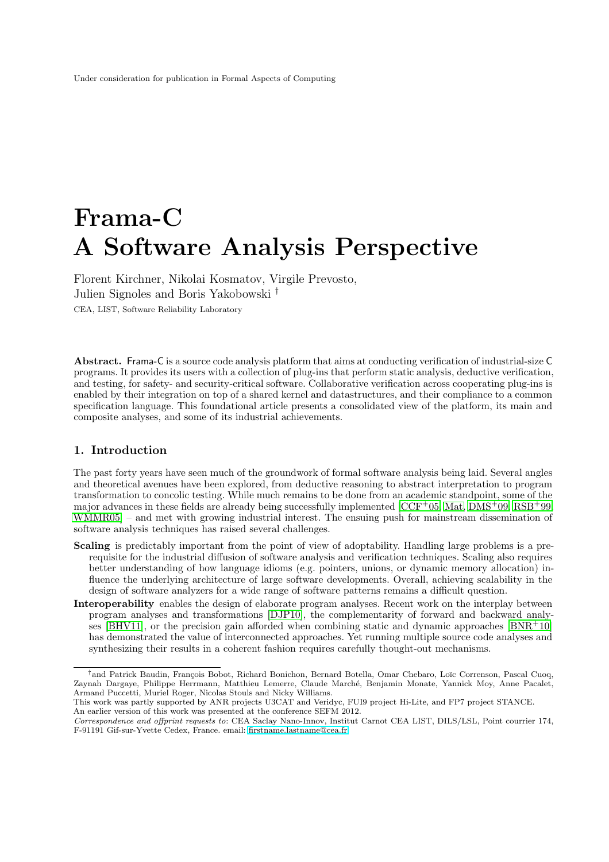# Frama-C A Software Analysis Perspective

Florent Kirchner, Nikolai Kosmatov, Virgile Prevosto, Julien Signoles and Boris Yakobowski † CEA, LIST, Software Reliability Laboratory

Abstract. Frama-C is a source code analysis platform that aims at conducting verification of industrial-size C programs. It provides its users with a collection of plug-ins that perform static analysis, deductive verification, and testing, for safety- and security-critical software. Collaborative verification across cooperating plug-ins is enabled by their integration on top of a shared kernel and datastructures, and their compliance to a common specification language. This foundational article presents a consolidated view of the platform, its main and composite analyses, and some of its industrial achievements.

# 1. Introduction

The past forty years have seen much of the groundwork of formal software analysis being laid. Several angles and theoretical avenues have been explored, from deductive reasoning to abstract interpretation to program transformation to concolic testing. While much remains to be done from an academic standpoint, some of the major advances in these fields are already being successfully implemented  $[CCF+05, Mat, DMS+09, RSB+99,$  $[CCF+05, Mat, DMS+09, RSB+99,$  $[CCF+05, Mat, DMS+09, RSB+99,$  $[CCF+05, Mat, DMS+09, RSB+99,$  $[CCF+05, Mat, DMS+09, RSB+99,$  $[CCF+05, Mat, DMS+09, RSB+99,$ [WMMR05\]](#page-35-1) – and met with growing industrial interest. The ensuing push for mainstream dissemination of software analysis techniques has raised several challenges.

- Scaling is predictably important from the point of view of adoptability. Handling large problems is a prerequisite for the industrial diffusion of software analysis and verification techniques. Scaling also requires better understanding of how language idioms (e.g. pointers, unions, or dynamic memory allocation) influence the underlying architecture of large software developments. Overall, achieving scalability in the design of software analyzers for a wide range of software patterns remains a difficult question.
- Interoperability enables the design of elaborate program analyses. Recent work on the interplay between program analyses and transformations [\[DJP10\]](#page-33-1), the complementarity of forward and backward analy-ses [\[BHV11\]](#page-32-1), or the precision gain afforded when combining static and dynamic approaches  $[BNR^+10]$ has demonstrated the value of interconnected approaches. Yet running multiple source code analyses and synthesizing their results in a coherent fashion requires carefully thought-out mechanisms.

<sup>†</sup>and Patrick Baudin, François Bobot, Richard Bonichon, Bernard Botella, Omar Chebaro, Loïc Correnson, Pascal Cuoq, Zaynah Dargaye, Philippe Herrmann, Matthieu Lemerre, Claude March´e, Benjamin Monate, Yannick Moy, Anne Pacalet, Armand Puccetti, Muriel Roger, Nicolas Stouls and Nicky Williams.

This work was partly supported by ANR projects U3CAT and Veridyc, FUI9 project Hi-Lite, and FP7 project STANCE. An earlier version of this work was presented at the conference SEFM 2012.

Correspondence and offprint requests to: CEA Saclay Nano-Innov, Institut Carnot CEA LIST, DILS/LSL, Point courrier 174, F-91191 Gif-sur-Yvette Cedex, France. email: [firstname.lastname@cea.fr](mailto:firstname.lastname@cea.fr)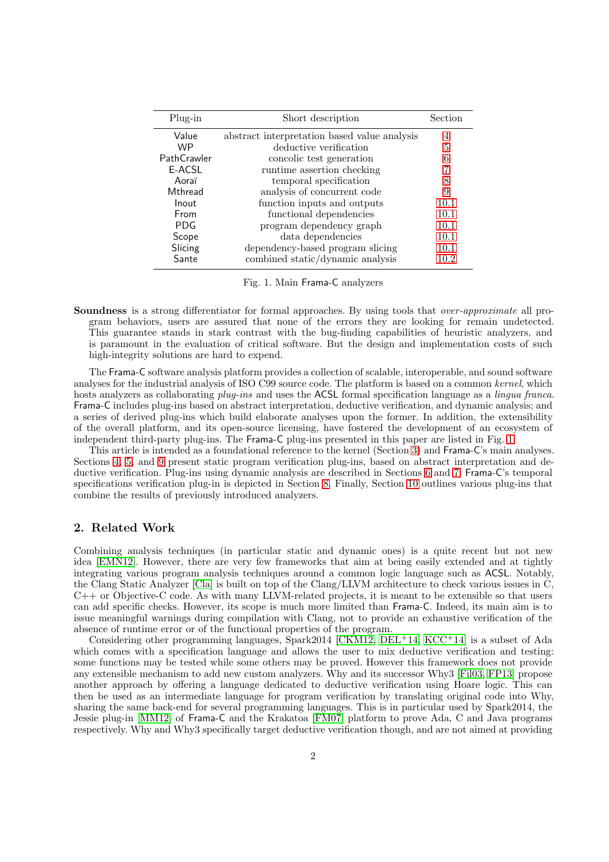| Plug-in     | Short description                            | Section        |
|-------------|----------------------------------------------|----------------|
| Value       | abstract interpretation based value analysis | $\overline{4}$ |
| WP          | deductive verification                       | 5              |
| PathCrawler | concolic test generation                     | 6              |
| E-ACSL      | runtime assertion checking                   | 7              |
| Aoraï       | temporal specification                       | 8              |
| Mthread     | analysis of concurrent code                  | 9              |
| Inout       | function inputs and outputs                  | 10.1           |
| From        | functional dependencies                      | 10.1           |
| <b>PDG</b>  | program dependency graph                     | 10.1           |
| Scope       | data dependencies                            | 10.1           |
| Slicing     | dependency-based program slicing             | 10.1           |
| Sante       | combined static/dynamic analysis             | 10.2           |

<span id="page-1-0"></span>Fig. 1. Main Frama-C analyzers

Soundness is a strong differentiator for formal approaches. By using tools that *over-approximate* all program behaviors, users are assured that none of the errors they are looking for remain undetected. This guarantee stands in stark contrast with the bug-finding capabilities of heuristic analyzers, and is paramount in the evaluation of critical software. But the design and implementation costs of such high-integrity solutions are hard to expend.

The Frama-C software analysis platform provides a collection of scalable, interoperable, and sound software analyses for the industrial analysis of ISO C99 source code. The platform is based on a common kernel, which hosts analyzers as collaborating plug-ins and uses the ACSL formal specification language as a lingua franca. Frama-C includes plug-ins based on abstract interpretation, deductive verification, and dynamic analysis; and a series of derived plug-ins which build elaborate analyses upon the former. In addition, the extensibility of the overall platform, and its open-source licensing, have fostered the development of an ecosystem of independent third-party plug-ins. The Frama-C plug-ins presented in this paper are listed in Fig. [1.](#page-1-0)

This article is intended as a foundational reference to the kernel (Section [3\)](#page-2-0) and Frama-C's main analyses. Sections [4,](#page-6-0) [5,](#page-14-0) and [9](#page-23-0) present static program verification plug-ins, based on abstract interpretation and deductive verification. Plug-ins using dynamic analysis are described in Sections [6](#page-16-0) and [7.](#page-17-0) Frama-C's temporal specifications verification plug-in is depicted in Section [8.](#page-19-0) Finally, Section [10](#page-28-1) outlines various plug-ins that combine the results of previously introduced analyzers.

# 2. Related Work

Combining analysis techniques (in particular static and dynamic ones) is a quite recent but not new idea [\[EMN12\]](#page-33-2). However, there are very few frameworks that aim at being easily extended and at tightly integrating various program analysis techniques around a common logic language such as ACSL. Notably, the Clang Static Analyzer [\[Cla\]](#page-33-3) is built on top of the Clang/LLVM architecture to check various issues in C, C++ or Objective-C code. As with many LLVM-related projects, it is meant to be extensible so that users can add specific checks. However, its scope is much more limited than Frama-C. Indeed, its main aim is to issue meaningful warnings during compilation with Clang, not to provide an exhaustive verification of the absence of runtime error or of the functional properties of the program.

Considering other programming languages, Spark2014 [\[CKM12,](#page-33-4)  $DEL+14$ ,  $KCC+14$ ] is a subset of Ada which comes with a specification language and allows the user to mix deductive verification and testing: some functions may be tested while some others may be proved. However this framework does not provide any extensible mechanism to add new custom analyzers. Why and its successor Why3 [\[Fil03,](#page-34-2) [FP13\]](#page-34-3) propose another approach by offering a language dedicated to deductive verification using Hoare logic. This can then be used as an intermediate language for program verification by translating original code into Why, sharing the same back-end for several programming languages. This is in particular used by Spark2014, the Jessie plug-in [\[MM12\]](#page-34-4) of Frama-C and the Krakatoa [\[FM07\]](#page-34-5) platform to prove Ada, C and Java programs respectively. Why and Why3 specifically target deductive verification though, and are not aimed at providing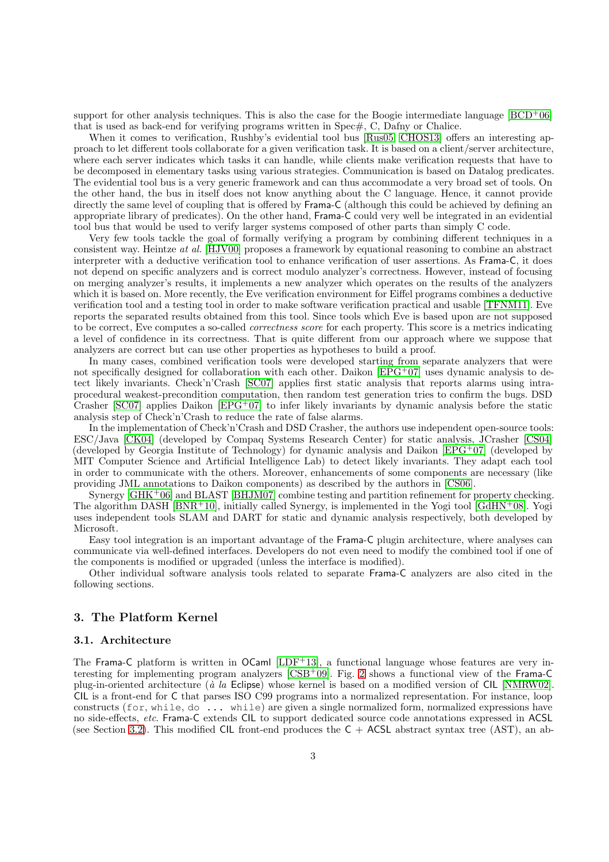support for other analysis techniques. This is also the case for the Boogie intermediate language  $[BCD+06]$ that is used as back-end for verifying programs written in Spec#, C, Dafny or Chalice.

When it comes to verification, Rushby's evidential tool bus [\[Rus05,](#page-35-2) [CHOS13\]](#page-33-6) offers an interesting approach to let different tools collaborate for a given verification task. It is based on a client/server architecture, where each server indicates which tasks it can handle, while clients make verification requests that have to be decomposed in elementary tasks using various strategies. Communication is based on Datalog predicates. The evidential tool bus is a very generic framework and can thus accommodate a very broad set of tools. On the other hand, the bus in itself does not know anything about the C language. Hence, it cannot provide directly the same level of coupling that is offered by Frama-C (although this could be achieved by defining an appropriate library of predicates). On the other hand, Frama-C could very well be integrated in an evidential tool bus that would be used to verify larger systems composed of other parts than simply C code.

Very few tools tackle the goal of formally verifying a program by combining different techniques in a consistent way. Heintze at al. [\[HJV00\]](#page-34-6) proposes a framework by equational reasoning to combine an abstract interpreter with a deductive verification tool to enhance verification of user assertions. As Frama-C, it does not depend on specific analyzers and is correct modulo analyzer's correctness. However, instead of focusing on merging analyzer's results, it implements a new analyzer which operates on the results of the analyzers which it is based on. More recently, the Eve verification environment for Eiffel programs combines a deductive verification tool and a testing tool in order to make software verification practical and usable [\[TFNM11\]](#page-35-3). Eve reports the separated results obtained from this tool. Since tools which Eve is based upon are not supposed to be correct, Eve computes a so-called correctness score for each property. This score is a metrics indicating a level of confidence in its correctness. That is quite different from our approach where we suppose that analyzers are correct but can use other properties as hypotheses to build a proof.

In many cases, combined verification tools were developed starting from separate analyzers that were not specifically designed for collaboration with each other. Daikon [\[EPG](#page-33-7)<sup>+</sup>07] uses dynamic analysis to detect likely invariants. Check'n'Crash [\[SC07\]](#page-35-4) applies first static analysis that reports alarms using intraprocedural weakest-precondition computation, then random test generation tries to confirm the bugs. DSD Crasher  $\left[SC07\right]$  applies Daikon  $\left[EPG^+07\right]$  to infer likely invariants by dynamic analysis before the static analysis step of Check'n'Crash to reduce the rate of false alarms.

In the implementation of Check'n'Crash and DSD Crasher, the authors use independent open-source tools: ESC/Java [\[CK04\]](#page-33-8) (developed by Compaq Systems Research Center) for static analysis, JCrasher [\[CS04\]](#page-33-9) (developed by Georgia Institute of Technology) for dynamic analysis and Daikon  $[EPG+07]$  (developed by MIT Computer Science and Artificial Intelligence Lab) to detect likely invariants. They adapt each tool in order to communicate with the others. Moreover, enhancements of some components are necessary (like providing JML annotations to Daikon components) as described by the authors in [\[CS06\]](#page-33-10).

Synergy [\[GHK](#page-34-7)<sup>+</sup>06] and BLAST [\[BHJM07\]](#page-32-4) combine testing and partition refinement for property checking. The algorithm DASH [\[BNR](#page-32-2)<sup>+</sup>10], initially called Synergy, is implemented in the Yogi tool [\[GdHN](#page-34-8)<sup>+</sup>08]. Yogi uses independent tools SLAM and DART for static and dynamic analysis respectively, both developed by Microsoft.

Easy tool integration is an important advantage of the Frama-C plugin architecture, where analyses can communicate via well-defined interfaces. Developers do not even need to modify the combined tool if one of the components is modified or upgraded (unless the interface is modified).

Other individual software analysis tools related to separate Frama-C analyzers are also cited in the following sections.

# <span id="page-2-0"></span>3. The Platform Kernel

## <span id="page-2-1"></span>3.1. Architecture

The Frama-C platform is written in OCaml [\[LDF](#page-34-9)<sup>+</sup>13], a functional language whose features are very interesting for implementing program analyzers [\[CSB](#page-33-11)<sup>+</sup>09]. Fig. [2](#page-3-0) shows a functional view of the Frama-C plug-in-oriented architecture ( $\dot{a}$  la Eclipse) whose kernel is based on a modified version of CIL [\[NMRW02\]](#page-35-5). CIL is a front-end for C that parses ISO C99 programs into a normalized representation. For instance, loop constructs (for, while, do ... while) are given a single normalized form, normalized expressions have no side-effects, etc. Frama-C extends CIL to support dedicated source code annotations expressed in ACSL (see Section [3.2\)](#page-3-1). This modified CIL front-end produces the  $C + ACSL$  abstract syntax tree (AST), an ab-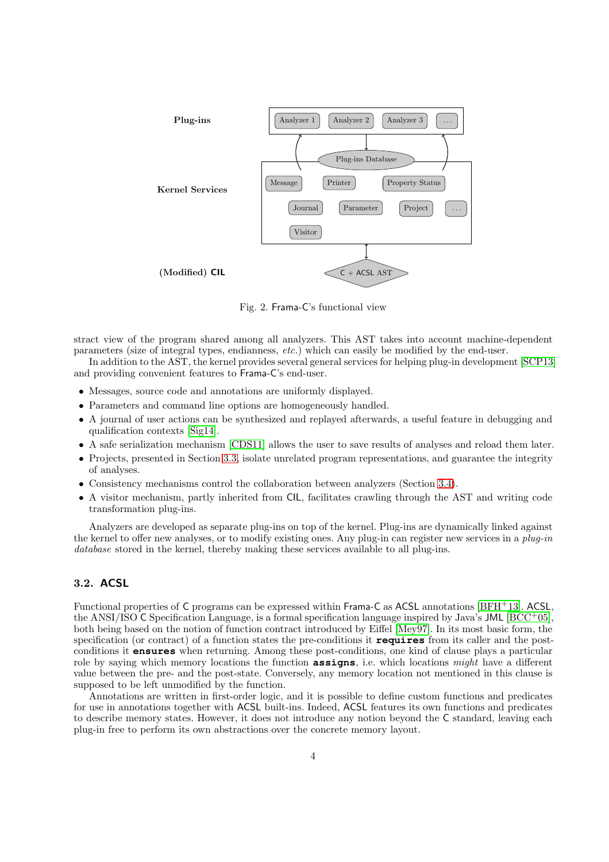

<span id="page-3-0"></span>Fig. 2. Frama-C's functional view

stract view of the program shared among all analyzers. This AST takes into account machine-dependent parameters (size of integral types, endianness, etc.) which can easily be modified by the end-user.

In addition to the AST, the kernel provides several general services for helping plug-in development [\[SCP13\]](#page-35-6) and providing convenient features to Frama-C's end-user.

- Messages, source code and annotations are uniformly displayed.
- Parameters and command line options are homogeneously handled.
- A journal of user actions can be synthesized and replayed afterwards, a useful feature in debugging and qualification contexts [\[Sig14\]](#page-35-7).
- A safe serialization mechanism [\[CDS11\]](#page-33-12) allows the user to save results of analyses and reload them later.
- Projects, presented in Section [3.3,](#page-5-0) isolate unrelated program representations, and guarantee the integrity of analyses.
- Consistency mechanisms control the collaboration between analyzers (Section [3.4\)](#page-5-1).
- A visitor mechanism, partly inherited from CIL, facilitates crawling through the AST and writing code transformation plug-ins.

Analyzers are developed as separate plug-ins on top of the kernel. Plug-ins are dynamically linked against the kernel to offer new analyses, or to modify existing ones. Any plug-in can register new services in a plug-in database stored in the kernel, thereby making these services available to all plug-ins.

## <span id="page-3-1"></span>3.2. ACSL

Functional properties of C programs can be expressed within Frama-C as ACSL annotations [\[BFH](#page-32-5)<sup>+</sup>13]. ACSL, the ANSI/ISO C Specification Language, is a formal specification language inspired by Java's JML [ $\text{BCC}^+$ 05], both being based on the notion of function contract introduced by Eiffel [\[Mey97\]](#page-34-10). In its most basic form, the specification (or contract) of a function states the pre-conditions it **requires** from its caller and the postconditions it **ensures** when returning. Among these post-conditions, one kind of clause plays a particular role by saying which memory locations the function **assigns**, i.e. which locations might have a different value between the pre- and the post-state. Conversely, any memory location not mentioned in this clause is supposed to be left unmodified by the function.

Annotations are written in first-order logic, and it is possible to define custom functions and predicates for use in annotations together with ACSL built-ins. Indeed, ACSL features its own functions and predicates to describe memory states. However, it does not introduce any notion beyond the C standard, leaving each plug-in free to perform its own abstractions over the concrete memory layout.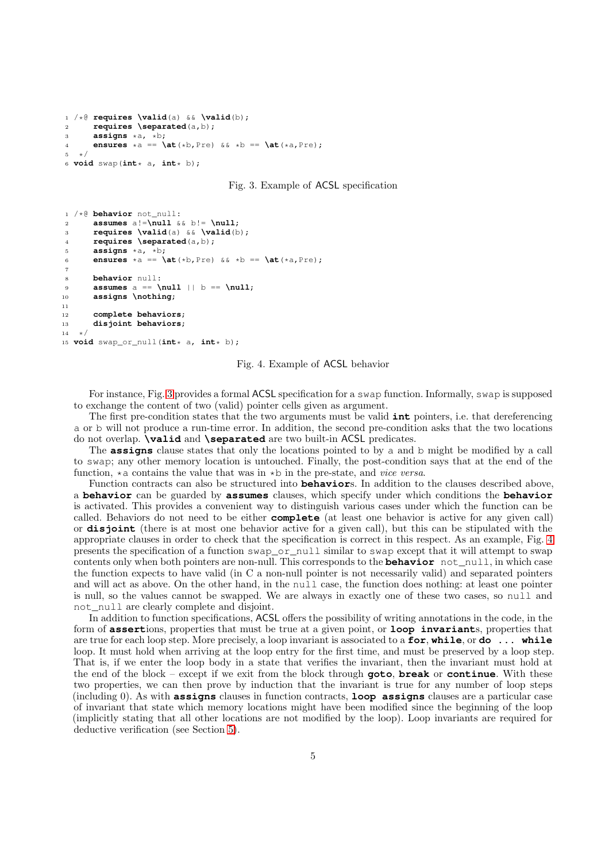```
1 / * @ requires \valid(a) & & \valid(b);<br>
requires \separated(a,b);
       requires \separated(a,b);
3 assigns *a, *b;
ensures \stara == \at(\starb,Pre) && \starb == \at(\stara,Pre);
  +/
6 void swap(int* a, int* b);
```
<span id="page-4-0"></span>Fig. 3. Example of ACSL specification

```
1 /*@ behavior not_null:
2 assumes a!=\null && b!= \null;
3 requires \valid(a) && \valid(b);
4 requires \separated(a,b);
5 assigns *a, *b;
6 ensures *a == \det(*b, Pre) && *b == \det(*a, Pre);
7
      8 behavior null:
9 assumes a == \null || b == \null;
10 assigns \nothing;
11
12 complete behaviors;
13 disjoint behaviors;
14 \times15 void swap_or_null(int* a, int* b);
```
<span id="page-4-1"></span>Fig. 4. Example of ACSL behavior

For instance, Fig. [3](#page-4-0) provides a formal ACSL specification for a swap function. Informally, swap is supposed to exchange the content of two (valid) pointer cells given as argument.

The first pre-condition states that the two arguments must be valid **int** pointers, i.e. that dereferencing a or b will not produce a run-time error. In addition, the second pre-condition asks that the two locations do not overlap. **\valid** and **\separated** are two built-in ACSL predicates.

The **assigns** clause states that only the locations pointed to by a and b might be modified by a call to swap; any other memory location is untouched. Finally, the post-condition says that at the end of the function,  $\star$  a contains the value that was in  $\star$ b in the pre-state, and *vice versa*.

Function contracts can also be structured into **behavior**s. In addition to the clauses described above, a **behavior** can be guarded by **assumes** clauses, which specify under which conditions the **behavior** is activated. This provides a convenient way to distinguish various cases under which the function can be called. Behaviors do not need to be either **complete** (at least one behavior is active for any given call) or **disjoint** (there is at most one behavior active for a given call), but this can be stipulated with the appropriate clauses in order to check that the specification is correct in this respect. As an example, Fig. [4](#page-4-1) presents the specification of a function swap\_or\_null similar to swap except that it will attempt to swap contents only when both pointers are non-null. This corresponds to the **behavior** not\_null, in which case the function expects to have valid (in C a non-null pointer is not necessarily valid) and separated pointers and will act as above. On the other hand, in the null case, the function does nothing: at least one pointer is null, so the values cannot be swapped. We are always in exactly one of these two cases, so null and not\_null are clearly complete and disjoint.

In addition to function specifications, ACSL offers the possibility of writing annotations in the code, in the form of **assert**ions, properties that must be true at a given point, or **loop invariant**s, properties that are true for each loop step. More precisely, a loop invariant is associated to a **for**, **while**, or **do** ... **while** loop. It must hold when arriving at the loop entry for the first time, and must be preserved by a loop step. That is, if we enter the loop body in a state that verifies the invariant, then the invariant must hold at the end of the block – except if we exit from the block through **goto**, **break** or **continue**. With these two properties, we can then prove by induction that the invariant is true for any number of loop steps (including 0). As with **assigns** clauses in function contracts, **loop assigns** clauses are a particular case of invariant that state which memory locations might have been modified since the beginning of the loop (implicitly stating that all other locations are not modified by the loop). Loop invariants are required for deductive verification (see Section [5\)](#page-14-0).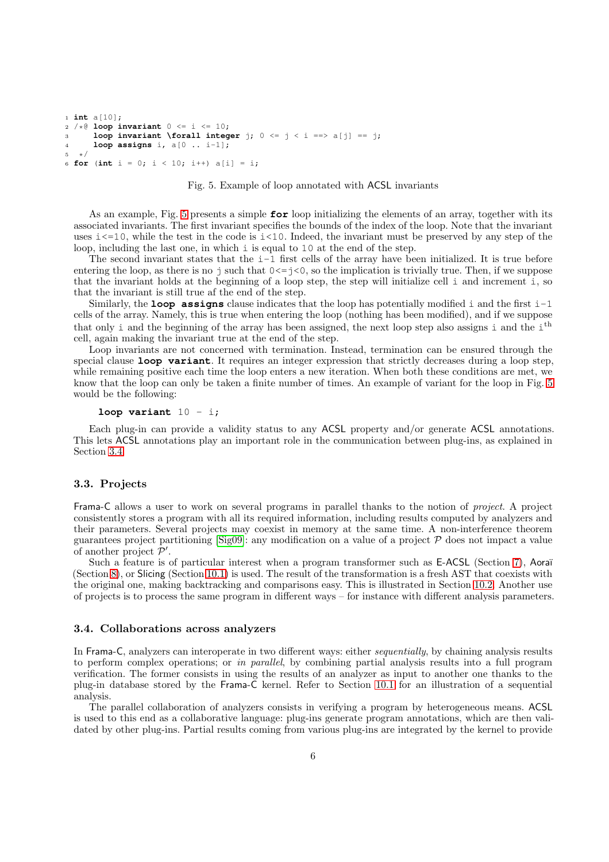```
1 int a[10];
2 /*@ loop invariant 0 <= i <= 10;
\frac{1}{3} loop invariant \forall integer j; 0 \leq j \leq i \implies a[j] == j;4 loop assigns i, a[0 .. i-1];
5 \times6 for (int i = 0; i < 10; i++) a[i] = i;
```
#### <span id="page-5-2"></span>Fig. 5. Example of loop annotated with ACSL invariants

As an example, Fig. [5](#page-5-2) presents a simple **for** loop initializing the elements of an array, together with its associated invariants. The first invariant specifies the bounds of the index of the loop. Note that the invariant uses  $i \leq 10$ , while the test in the code is  $i \leq 10$ . Indeed, the invariant must be preserved by any step of the loop, including the last one, in which i is equal to 10 at the end of the step.

The second invariant states that the  $i-1$  first cells of the array have been initialized. It is true before entering the loop, as there is no  $\dot{\gamma}$  such that  $0 \leq \dot{\gamma} \leq 0$ , so the implication is trivially true. Then, if we suppose that the invariant holds at the beginning of a loop step, the step will initialize cell i and increment i, so that the invariant is still true af the end of the step.

Similarly, the **loop assigns** clause indicates that the loop has potentially modified i and the first  $i-1$ cells of the array. Namely, this is true when entering the loop (nothing has been modified), and if we suppose that only i and the beginning of the array has been assigned, the next loop step also assigns i and the i<sup>th</sup> cell, again making the invariant true at the end of the step.

Loop invariants are not concerned with termination. Instead, termination can be ensured through the special clause **loop variant**. It requires an integer expression that strictly decreases during a loop step, while remaining positive each time the loop enters a new iteration. When both these conditions are met, we know that the loop can only be taken a finite number of times. An example of variant for the loop in Fig. [5](#page-5-2) would be the following:

## **loop variant** 10 - i;

Each plug-in can provide a validity status to any ACSL property and/or generate ACSL annotations. This lets ACSL annotations play an important role in the communication between plug-ins, as explained in Section [3.4.](#page-5-1)

#### <span id="page-5-0"></span>3.3. Projects

Frama-C allows a user to work on several programs in parallel thanks to the notion of project. A project consistently stores a program with all its required information, including results computed by analyzers and their parameters. Several projects may coexist in memory at the same time. A non-interference theorem guarantees project partitioning  $[\text{Sig09}]$ : any modification on a value of a project  $P$  does not impact a value of another project  $\mathcal{P}'$ .

Such a feature is of particular interest when a program transformer such as **E-ACSL** (Section [7\)](#page-17-0), Aoraï (Section [8\)](#page-19-0), or Slicing (Section [10.1\)](#page-28-0) is used. The result of the transformation is a fresh AST that coexists with the original one, making backtracking and comparisons easy. This is illustrated in Section [10.2.](#page-29-0) Another use of projects is to process the same program in different ways – for instance with different analysis parameters.

#### <span id="page-5-1"></span>3.4. Collaborations across analyzers

In Frama-C, analyzers can interoperate in two different ways: either *sequentially*, by chaining analysis results to perform complex operations; or in parallel, by combining partial analysis results into a full program verification. The former consists in using the results of an analyzer as input to another one thanks to the plug-in database stored by the Frama-C kernel. Refer to Section [10.1](#page-28-0) for an illustration of a sequential analysis.

The parallel collaboration of analyzers consists in verifying a program by heterogeneous means. ACSL is used to this end as a collaborative language: plug-ins generate program annotations, which are then validated by other plug-ins. Partial results coming from various plug-ins are integrated by the kernel to provide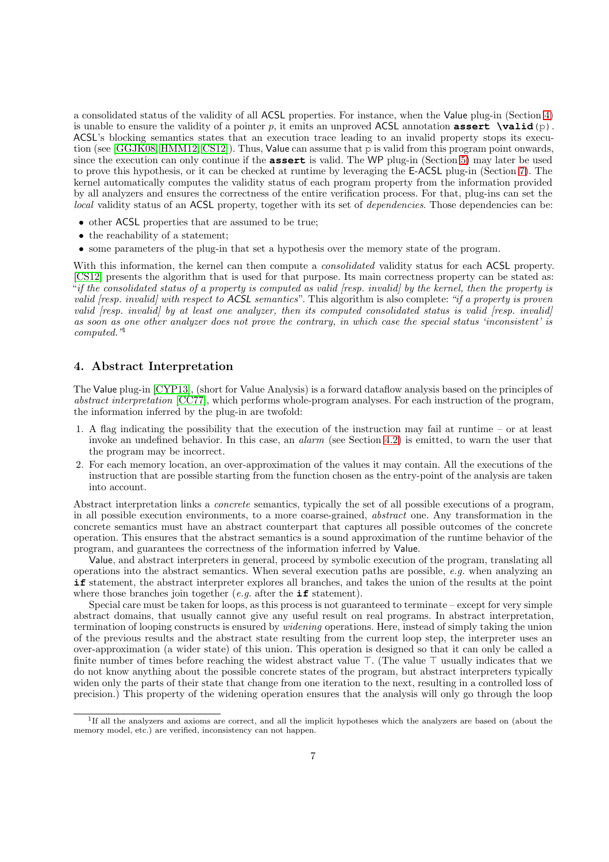a consolidated status of the validity of all ACSL properties. For instance, when the Value plug-in (Section [4\)](#page-6-0) is unable to ensure the validity of a pointer p, it emits an unproved ACSL annotation **assert \valid**(p). ACSL's blocking semantics states that an execution trace leading to an invalid property stops its execution (see [\[GGJK08,](#page-34-11) [HMM12,](#page-34-12) [CS12\]](#page-33-13)). Thus, Value can assume that p is valid from this program point onwards, since the execution can only continue if the **assert** is valid. The WP plug-in (Section [5\)](#page-14-0) may later be used to prove this hypothesis, or it can be checked at runtime by leveraging the E-ACSL plug-in (Section [7\)](#page-17-0). The kernel automatically computes the validity status of each program property from the information provided by all analyzers and ensures the correctness of the entire verification process. For that, plug-ins can set the local validity status of an ACSL property, together with its set of *dependencies*. Those dependencies can be:

- other ACSL properties that are assumed to be true;
- the reachability of a statement;
- some parameters of the plug-in that set a hypothesis over the memory state of the program.

With this information, the kernel can then compute a *consolidated* validity status for each ACSL property. [\[CS12\]](#page-33-13) presents the algorithm that is used for that purpose. Its main correctness property can be stated as:  $\ddot{a}$  if the consolidated status of a property is computed as valid [resp. invalid] by the kernel, then the property is valid [resp. invalid] with respect to ACSL semantics". This algorithm is also complete: "if a property is proven valid [resp. invalid] by at least one analyzer, then its computed consolidated status is valid [resp. invalid] as soon as one other analyzer does not prove the contrary, in which case the special status 'inconsistent' is computed."<sup>1</sup>

# <span id="page-6-0"></span>4. Abstract Interpretation

The Value plug-in [\[CYP13\]](#page-33-14), (short for Value Analysis) is a forward dataflow analysis based on the principles of abstract interpretation [\[CC77\]](#page-32-7), which performs whole-program analyses. For each instruction of the program, the information inferred by the plug-in are twofold:

- 1. A flag indicating the possibility that the execution of the instruction may fail at runtime or at least invoke an undefined behavior. In this case, an *alarm* (see Section [4.2\)](#page-12-0) is emitted, to warn the user that the program may be incorrect.
- 2. For each memory location, an over-approximation of the values it may contain. All the executions of the instruction that are possible starting from the function chosen as the entry-point of the analysis are taken into account.

Abstract interpretation links a concrete semantics, typically the set of all possible executions of a program, in all possible execution environments, to a more coarse-grained, abstract one. Any transformation in the concrete semantics must have an abstract counterpart that captures all possible outcomes of the concrete operation. This ensures that the abstract semantics is a sound approximation of the runtime behavior of the program, and guarantees the correctness of the information inferred by Value.

Value, and abstract interpreters in general, proceed by symbolic execution of the program, translating all operations into the abstract semantics. When several execution paths are possible,  $e.g.$  when analyzing an **if** statement, the abstract interpreter explores all branches, and takes the union of the results at the point where those branches join together (*e.g.* after the **if** statement).

Special care must be taken for loops, as this process is not guaranteed to terminate – except for very simple abstract domains, that usually cannot give any useful result on real programs. In abstract interpretation, termination of looping constructs is ensured by widening operations. Here, instead of simply taking the union of the previous results and the abstract state resulting from the current loop step, the interpreter uses an over-approximation (a wider state) of this union. This operation is designed so that it can only be called a finite number of times before reaching the widest abstract value ⊤. (The value ⊤ usually indicates that we do not know anything about the possible concrete states of the program, but abstract interpreters typically widen only the parts of their state that change from one iteration to the next, resulting in a controlled loss of precision.) This property of the widening operation ensures that the analysis will only go through the loop

<sup>&</sup>lt;sup>1</sup>If all the analyzers and axioms are correct, and all the implicit hypotheses which the analyzers are based on (about the memory model, etc.) are verified, inconsistency can not happen.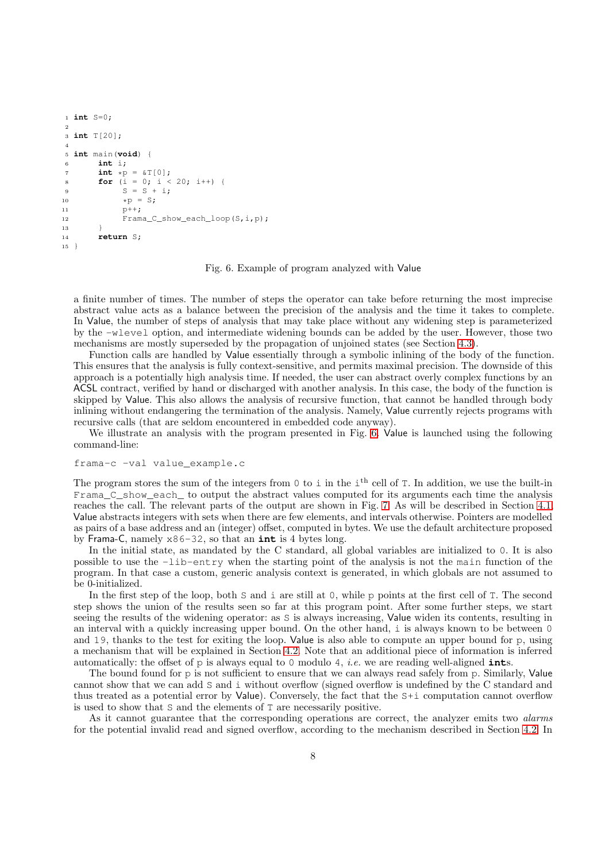```
1 int S=0;
2
3 int T[20];
 4
5 int main(void) {
 6 int i;
7 int *{\bf p} = \&T[0];<br>8 for {\bf f} = 0; {\bf f} <for (i = 0; i < 20; i++) {
9 S = S + i;10 \star p = S;<br>11 p++;p++;12 Frama_C_show_each_loop(S, i, p);
13 }
14 return S;
15 }
```
#### <span id="page-7-0"></span>Fig. 6. Example of program analyzed with Value

a finite number of times. The number of steps the operator can take before returning the most imprecise abstract value acts as a balance between the precision of the analysis and the time it takes to complete. In Value, the number of steps of analysis that may take place without any widening step is parameterized by the -wlevel option, and intermediate widening bounds can be added by the user. However, those two mechanisms are mostly superseded by the propagation of unjoined states (see Section [4.3\)](#page-12-1).

Function calls are handled by Value essentially through a symbolic inlining of the body of the function. This ensures that the analysis is fully context-sensitive, and permits maximal precision. The downside of this approach is a potentially high analysis time. If needed, the user can abstract overly complex functions by an ACSL contract, verified by hand or discharged with another analysis. In this case, the body of the function is skipped by Value. This also allows the analysis of recursive function, that cannot be handled through body inlining without endangering the termination of the analysis. Namely, Value currently rejects programs with recursive calls (that are seldom encountered in embedded code anyway).

We illustrate an analysis with the program presented in Fig. [6.](#page-7-0) Value is launched using the following command-line:

frama-c -val value\_example.c

The program stores the sum of the integers from  $0$  to i in the i<sup>th</sup> cell of T. In addition, we use the built-in Frama C show each to output the abstract values computed for its arguments each time the analysis reaches the call. The relevant parts of the output are shown in Fig. [7.](#page-8-0) As will be described in Section [4.1,](#page-8-1) Value abstracts integers with sets when there are few elements, and intervals otherwise. Pointers are modelled as pairs of a base address and an (integer) offset, computed in bytes. We use the default architecture proposed by Frama-C, namely x86-32, so that an **int** is 4 bytes long.

In the initial state, as mandated by the C standard, all global variables are initialized to 0. It is also possible to use the -lib-entry when the starting point of the analysis is not the main function of the program. In that case a custom, generic analysis context is generated, in which globals are not assumed to be 0-initialized.

In the first step of the loop, both S and i are still at 0, while p points at the first cell of T. The second step shows the union of the results seen so far at this program point. After some further steps, we start seeing the results of the widening operator: as S is always increasing, Value widen its contents, resulting in an interval with a quickly increasing upper bound. On the other hand, i is always known to be between 0 and 19, thanks to the test for exiting the loop. Value is also able to compute an upper bound for p, using a mechanism that will be explained in Section [4.2.](#page-12-0) Note that an additional piece of information is inferred automatically: the offset of p is always equal to 0 modulo 4, i.e. we are reading well-aligned **int**s.

The bound found for p is not sufficient to ensure that we can always read safely from p. Similarly, Value cannot show that we can add S and i without overflow (signed overflow is undefined by the C standard and thus treated as a potential error by Value). Conversely, the fact that the S+i computation cannot overflow is used to show that S and the elements of T are necessarily positive.

As it cannot guarantee that the corresponding operations are correct, the analyzer emits two *alarms* for the potential invalid read and signed overflow, according to the mechanism described in Section [4.2.](#page-12-0) In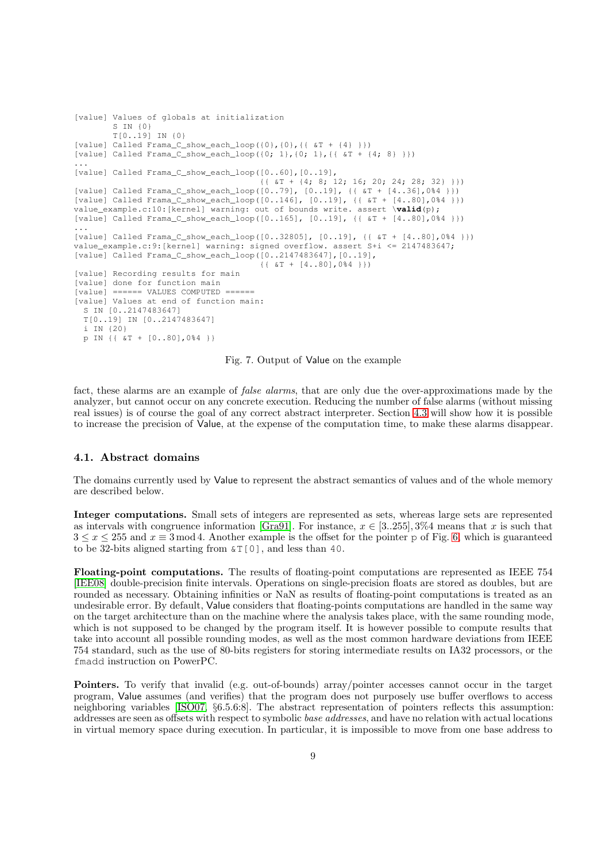```
[value] Values of globals at initialization
           S IN {0}
           T[0..19] IN {0}
[value] Called Frama_C_show_each_loop({0}, {0}, {{ &T + {4}} } })
[value] Called Frama_C_show_each_loop({0; 1}, {0; 1}, {{ \&T + {4; 8} }})
...
[value] Called Frama_C_show_each_loop([0..60],[0..19],
                                                        \{ {\mathfrak{c}} \subset {\mathfrak{x}} + {\mathfrak{c}} \times {\mathfrak{p}} \subset {\mathfrak{p}} \subset {\mathfrak{p}} \subset {\mathfrak{p}} \subset {\mathfrak{p}} \subset {\mathfrak{p}} \subset {\mathfrak{p}} \subset {\mathfrak{p}} \subset {\mathfrak{p}} \subset {\mathfrak{p}} \subset {\mathfrak{p}} \subset {\mathfrak{p}} \subset {\mathfrak{p}} \subset {\mathfrak{p}} \subset {\mathfrak{p}} \subset {\mathfrak{p}} \subset {\mathfrak{p}} \subset {\mathfrak{p}} \subset {\mathfrak{p}} \subset {\mathfrak{p}} \subset {\mathfrak{p}} \subset {\mathfrak[value] Called Frama_C_show_each_loop([0..79], [0..19], {{ &T + [4..36],0%4 }})
[value] Called Frama_C_show_each_loop([0..146], [0..19], {{ &T + [4..80],0%4 }})
value_example.c:10:[kernel] warning: out of bounds write. assert \valid(p);
[value] Called Frama_C_show_each_loop([0..165], [0..19], \{ \{ xT + [4..80], 0\4} \})
...
[value] Called Frama_C_show_each_loop([0..32805], [0..19], {{ &T + [4..80],0%4 }})
value_example.c:9:[kernel] warning: signed overflow. assert S+i <= 2147483647;
[value] Called Frama_C_show_each_loop([0..2147483647],[0..19],
                                                        {{ &T + [4..80],0%4 }})
[value] Recording results for main
[value] done for function main
[value] ====== VALUES COMPUTED ======
[value] Values at end of function main:
  S IN [0..2147483647]
  T[0..19] IN [0..2147483647]
  i IN {20}
  p IN {{ &T + [0..80],0%4 }}
```
<span id="page-8-0"></span>Fig. 7. Output of Value on the example

fact, these alarms are an example of false alarms, that are only due the over-approximations made by the analyzer, but cannot occur on any concrete execution. Reducing the number of false alarms (without missing real issues) is of course the goal of any correct abstract interpreter. Section [4.3](#page-12-1) will show how it is possible to increase the precision of Value, at the expense of the computation time, to make these alarms disappear.

## <span id="page-8-1"></span>4.1. Abstract domains

The domains currently used by Value to represent the abstract semantics of values and of the whole memory are described below.

Integer computations. Small sets of integers are represented as sets, whereas large sets are represented as intervals with congruence information [\[Gra91\]](#page-34-13). For instance,  $x \in [3..255]$ , 3%4 means that x is such that  $3 \leq x \leq 255$  and  $x \equiv 3 \mod 4$ . Another example is the offset for the pointer p of Fig. [6,](#page-7-0) which is guaranteed to be 32-bits aligned starting from &T[0], and less than 40.

Floating-point computations. The results of floating-point computations are represented as IEEE 754 [\[IEE08\]](#page-34-14) double-precision finite intervals. Operations on single-precision floats are stored as doubles, but are rounded as necessary. Obtaining infinities or NaN as results of floating-point computations is treated as an undesirable error. By default, Value considers that floating-points computations are handled in the same way on the target architecture than on the machine where the analysis takes place, with the same rounding mode, which is not supposed to be changed by the program itself. It is however possible to compute results that take into account all possible rounding modes, as well as the most common hardware deviations from IEEE 754 standard, such as the use of 80-bits registers for storing intermediate results on IA32 processors, or the fmadd instruction on PowerPC.

Pointers. To verify that invalid (e.g. out-of-bounds) array/pointer accesses cannot occur in the target program, Value assumes (and verifies) that the program does not purposely use buffer overflows to access neighboring variables [\[ISO07,](#page-34-15) §6.5.6:8]. The abstract representation of pointers reflects this assumption: addresses are seen as offsets with respect to symbolic base addresses, and have no relation with actual locations in virtual memory space during execution. In particular, it is impossible to move from one base address to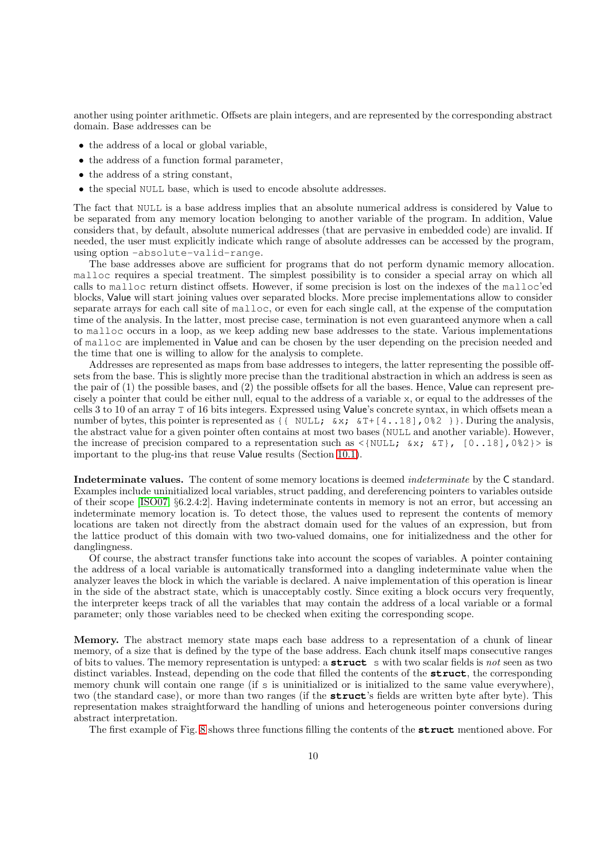another using pointer arithmetic. Offsets are plain integers, and are represented by the corresponding abstract domain. Base addresses can be

- the address of a local or global variable,
- the address of a function formal parameter,
- the address of a string constant,
- the special NULL base, which is used to encode absolute addresses.

The fact that NULL is a base address implies that an absolute numerical address is considered by Value to be separated from any memory location belonging to another variable of the program. In addition, Value considers that, by default, absolute numerical addresses (that are pervasive in embedded code) are invalid. If needed, the user must explicitly indicate which range of absolute addresses can be accessed by the program, using option -absolute-valid-range.

The base addresses above are sufficient for programs that do not perform dynamic memory allocation. malloc requires a special treatment. The simplest possibility is to consider a special array on which all calls to malloc return distinct offsets. However, if some precision is lost on the indexes of the malloc'ed blocks, Value will start joining values over separated blocks. More precise implementations allow to consider separate arrays for each call site of malloc, or even for each single call, at the expense of the computation time of the analysis. In the latter, most precise case, termination is not even guaranteed anymore when a call to malloc occurs in a loop, as we keep adding new base addresses to the state. Various implementations of malloc are implemented in Value and can be chosen by the user depending on the precision needed and the time that one is willing to allow for the analysis to complete.

Addresses are represented as maps from base addresses to integers, the latter representing the possible offsets from the base. This is slightly more precise than the traditional abstraction in which an address is seen as the pair of (1) the possible bases, and (2) the possible offsets for all the bases. Hence, Value can represent precisely a pointer that could be either null, equal to the address of a variable x, or equal to the addresses of the cells 3 to 10 of an array T of 16 bits integers. Expressed using Value's concrete syntax, in which offsets mean a number of bytes, this pointer is represented as {{ NULL; &x; &T+[4..18],0%2 }}. During the analysis, the abstract value for a given pointer often contains at most two bases (NULL and another variable). However, the increase of precision compared to a representation such as  $\{\text{NULL}; \&x \&T\}, [0.18], 0\&2\}$  is important to the plug-ins that reuse Value results (Section [10.1\)](#page-28-0).

Indeterminate values. The content of some memory locations is deemed indeterminate by the C standard. Examples include uninitialized local variables, struct padding, and dereferencing pointers to variables outside of their scope [\[ISO07,](#page-34-15) §6.2.4:2]. Having indeterminate contents in memory is not an error, but accessing an indeterminate memory location is. To detect those, the values used to represent the contents of memory locations are taken not directly from the abstract domain used for the values of an expression, but from the lattice product of this domain with two two-valued domains, one for initializedness and the other for danglingness.

Of course, the abstract transfer functions take into account the scopes of variables. A pointer containing the address of a local variable is automatically transformed into a dangling indeterminate value when the analyzer leaves the block in which the variable is declared. A naive implementation of this operation is linear in the side of the abstract state, which is unacceptably costly. Since exiting a block occurs very frequently, the interpreter keeps track of all the variables that may contain the address of a local variable or a formal parameter; only those variables need to be checked when exiting the corresponding scope.

Memory. The abstract memory state maps each base address to a representation of a chunk of linear memory, of a size that is defined by the type of the base address. Each chunk itself maps consecutive ranges of bits to values. The memory representation is untyped: a **struct** s with two scalar fields is not seen as two distinct variables. Instead, depending on the code that filled the contents of the **struct**, the corresponding memory chunk will contain one range (if s is uninitialized or is initialized to the same value everywhere), two (the standard case), or more than two ranges (if the **struct**'s fields are written byte after byte). This representation makes straightforward the handling of unions and heterogeneous pointer conversions during abstract interpretation.

The first example of Fig. [8](#page-10-0) shows three functions filling the contents of the **struct** mentioned above. For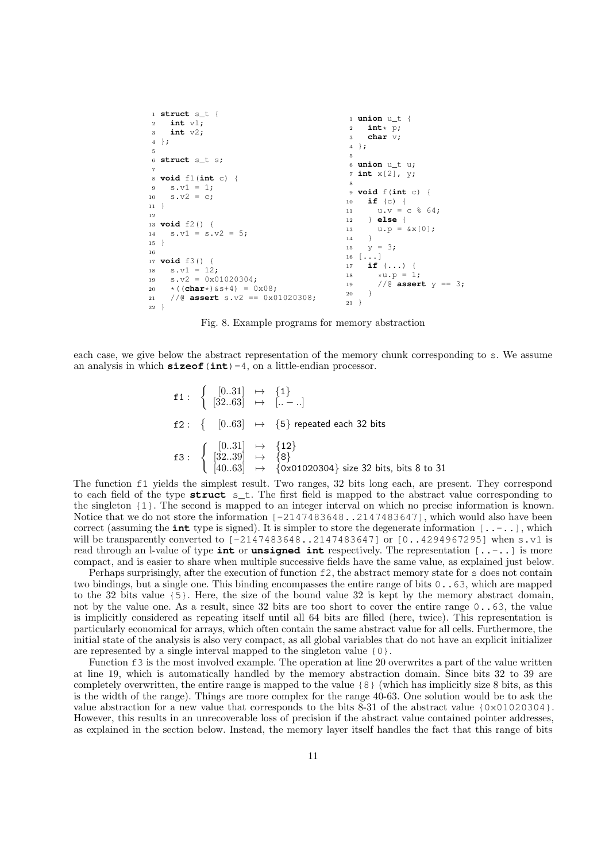```
1 struct s_t {
2 int v1;
3 int v2;
4 };
5
6 struct s_t s;
 7
8 void f1(int c) {
9 s \cdot v_1 = 1:
10 S.V2 = C;11 }
12
13 void f2() {
14 s.v1 = s.v2 = 5;
15 }
16
17 void f3() {
18 s.v1 = 12;19 s.v2 = 0x01020304;
20 * ( (char*) &8+4) = 0x08;<br>21 / / 0 assert &5. \text{v2} == 0x0
     21 //@ assert s.v2 == 0x01020308;
22 }
                                                   1 union u_t {
                                                   2 int* p;
                                                        3 char v;
                                                   4 };
                                                   5
                                                   6 union u_t u;
                                                   7 int x[2], y;
                                                   8
                                                   9 void f(int c) {
                                                  10 if (c) {
                                                  11 u \cdot v = c \frac{64}{3}12 } else {
                                                  13 u \cdot p = \&x[0];14 }
                                                  15 y = 3;16 [...]
                                                  17 if (...) {
                                                  18 \star u \cdot p = 1;<br>19 //@ asser
                                                          19 //@ assert y == 3;
                                                  20 \frac{1}{20}21 }
```
<span id="page-10-0"></span>Fig. 8. Example programs for memory abstraction

each case, we give below the abstract representation of the memory chunk corresponding to s. We assume an analysis in which **sizeof**(**int**)=4, on a little-endian processor.

f1: 
$$
\left\{ \begin{array}{ll} [0..31] \mapsto \{1\} \\ [32..63] \mapsto [...-.] \end{array} \right.
$$
  
f2: 
$$
\left\{ \begin{array}{ll} [0..63] \mapsto \{5\} \text{ repeated each 32 bits} \\ [32..39] \mapsto \{3\} \\ [40..63] \mapsto \{0x01020304\} \text{ size 32 bits, bits 8 to 31} \end{array} \right.
$$

The function f1 yields the simplest result. Two ranges, 32 bits long each, are present. They correspond to each field of the type **struct** s\_t. The first field is mapped to the abstract value corresponding to the singleton {1}. The second is mapped to an integer interval on which no precise information is known. Notice that we do not store the information  $[-2147483648..2147483647]$ , which would also have been correct (assuming the **int** type is signed). It is simpler to store the degenerate information  $[\cdot, \cdot, \cdot]$ , which will be transparently converted to [-2147483648..2147483647] or [0..4294967295] when s.v1 is read through an l-value of type **int** or **unsigned int** respectively. The representation [..-..] is more compact, and is easier to share when multiple successive fields have the same value, as explained just below.

Perhaps surprisingly, after the execution of function f2, the abstract memory state for s does not contain two bindings, but a single one. This binding encompasses the entire range of bits 0..63, which are mapped to the 32 bits value {5}. Here, the size of the bound value 32 is kept by the memory abstract domain, not by the value one. As a result, since 32 bits are too short to cover the entire range 0..63, the value is implicitly considered as repeating itself until all 64 bits are filled (here, twice). This representation is particularly economical for arrays, which often contain the same abstract value for all cells. Furthermore, the initial state of the analysis is also very compact, as all global variables that do not have an explicit initializer are represented by a single interval mapped to the singleton value {0}.

Function f3 is the most involved example. The operation at line 20 overwrites a part of the value written at line 19, which is automatically handled by the memory abstraction domain. Since bits 32 to 39 are completely overwritten, the entire range is mapped to the value {8} (which has implicitly size 8 bits, as this is the width of the range). Things are more complex for the range 40-63. One solution would be to ask the value abstraction for a new value that corresponds to the bits 8-31 of the abstract value  ${0 \times 01020304}$ . However, this results in an unrecoverable loss of precision if the abstract value contained pointer addresses, as explained in the section below. Instead, the memory layer itself handles the fact that this range of bits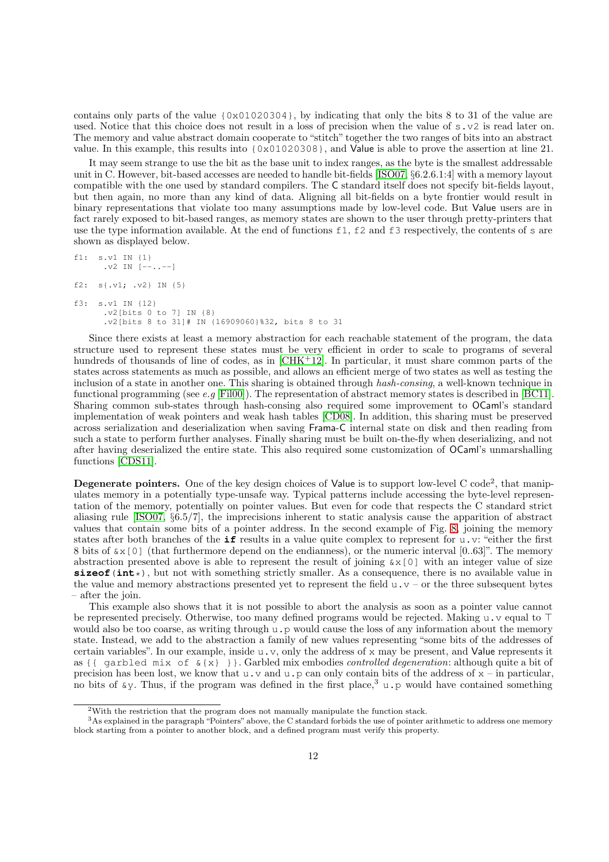contains only parts of the value  ${0x01020304}$ , by indicating that only the bits 8 to 31 of the value are used. Notice that this choice does not result in a loss of precision when the value of  $s \cdot v^2$  is read later on. The memory and value abstract domain cooperate to "stitch" together the two ranges of bits into an abstract value. In this example, this results into {0x01020308}, and Value is able to prove the assertion at line 21.

It may seem strange to use the bit as the base unit to index ranges, as the byte is the smallest addressable unit in C. However, bit-based accesses are needed to handle bit-fields [\[ISO07,](#page-34-15) §6.2.6.1:4] with a memory layout compatible with the one used by standard compilers. The C standard itself does not specify bit-fields layout, but then again, no more than any kind of data. Aligning all bit-fields on a byte frontier would result in binary representations that violate too many assumptions made by low-level code. But Value users are in fact rarely exposed to bit-based ranges, as memory states are shown to the user through pretty-printers that use the type information available. At the end of functions f1, f2 and f3 respectively, the contents of s are shown as displayed below.

```
f1: s.v1 IN {1}
     .v2 IN [--.--]f2: s{.v1; .v2} IN {5}
f3: s.v1 IN {12}
      .v2[bits 0 to 7] IN {8}
      .v2[bits 8 to 31]# IN {16909060}%32, bits 8 to 31
```
Since there exists at least a memory abstraction for each reachable statement of the program, the data structure used to represent these states must be very efficient in order to scale to programs of several hundreds of thousands of line of codes, as in  $[CHK^+12]$ . In particular, it must share common parts of the states across statements as much as possible, and allows an efficient merge of two states as well as testing the inclusion of a state in another one. This sharing is obtained through hash-consing, a well-known technique in functional programming (see e.g [\[Fil00\]](#page-33-16)). The representation of abstract memory states is described in [\[BC11\]](#page-32-8). Sharing common sub-states through hash-consing also required some improvement to OCaml's standard implementation of weak pointers and weak hash tables [\[CD08\]](#page-33-17). In addition, this sharing must be preserved across serialization and deserialization when saving Frama-C internal state on disk and then reading from such a state to perform further analyses. Finally sharing must be built on-the-fly when deserializing, and not after having deserialized the entire state. This also required some customization of OCaml's unmarshalling functions [\[CDS11\]](#page-33-12).

**Degenerate pointers.** One of the key design choices of Value is to support low-level C code<sup>2</sup>, that manipulates memory in a potentially type-unsafe way. Typical patterns include accessing the byte-level representation of the memory, potentially on pointer values. But even for code that respects the C standard strict aliasing rule [\[ISO07,](#page-34-15) §6.5/7], the imprecisions inherent to static analysis cause the apparition of abstract values that contain some bits of a pointer address. In the second example of Fig. [8,](#page-10-0) joining the memory states after both branches of the **if** results in a value quite complex to represent for u.v: "either the first 8 bits of  $\&x[0]$  (that furthermore depend on the endianness), or the numeric interval [0..63]". The memory abstraction presented above is able to represent the result of joining  $\&x[0]$  with an integer value of size **sizeof**(int\*), but not with something strictly smaller. As a consequence, there is no available value in the value and memory abstractions presented yet to represent the field  $u \cdot v -$  or the three subsequent bytes – after the join.

This example also shows that it is not possible to abort the analysis as soon as a pointer value cannot be represented precisely. Otherwise, too many defined programs would be rejected. Making u.v equal to ⊤ would also be too coarse, as writing through  $u \cdot p$  would cause the loss of any information about the memory state. Instead, we add to the abstraction a family of new values representing "some bits of the addresses of certain variables". In our example, inside u.v, only the address of x may be present, and Value represents it as {{ garbled mix of  $\& \{x\}$  }}. Garbled mix embodies *controlled degeneration*: although quite a bit of precision has been lost, we know that  $u \cdot v$  and  $u \cdot p$  can only contain bits of the address of  $x - in$  particular, no bits of  $\zeta$ y. Thus, if the program was defined in the first place,<sup>3</sup> u.p would have contained something

<sup>2</sup>With the restriction that the program does not manually manipulate the function stack.

<sup>3</sup>As explained in the paragraph "Pointers" above, the C standard forbids the use of pointer arithmetic to address one memory block starting from a pointer to another block, and a defined program must verify this property.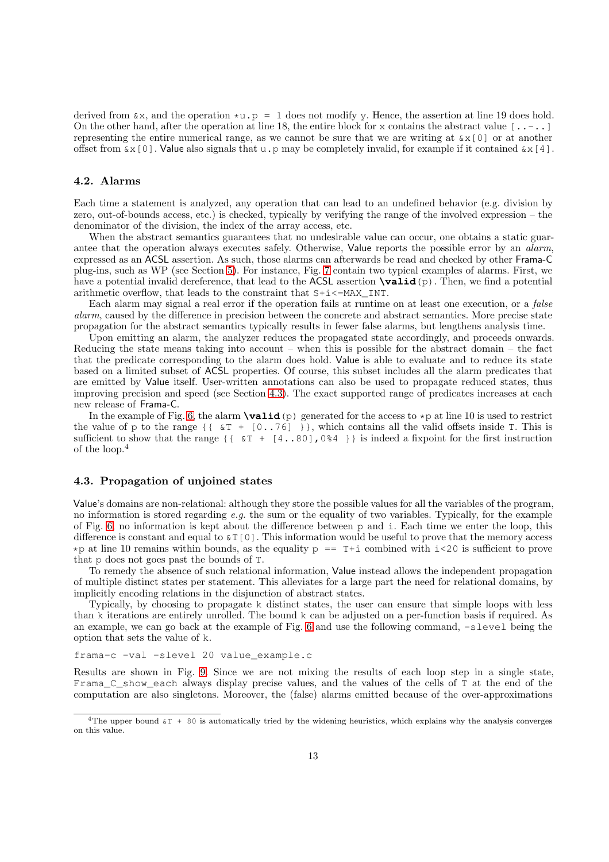derived from  $\&x$ , and the operation  $\star u \cdot p = 1$  does not modify y. Hence, the assertion at line 19 does hold. On the other hand, after the operation at line 18, the entire block for x contains the abstract value  $[\ldots]$ . representing the entire numerical range, as we cannot be sure that we are writing at  $\&\times$ [0] or at another offset from  $\&x[0]$ . Value also signals that u.p may be completely invalid, for example if it contained  $&x[4]$ .

## <span id="page-12-0"></span>4.2. Alarms

Each time a statement is analyzed, any operation that can lead to an undefined behavior (e.g. division by zero, out-of-bounds access, etc.) is checked, typically by verifying the range of the involved expression – the denominator of the division, the index of the array access, etc.

When the abstract semantics guarantees that no undesirable value can occur, one obtains a static guarantee that the operation always executes safely. Otherwise, Value reports the possible error by an *alarm*, expressed as an ACSL assertion. As such, those alarms can afterwards be read and checked by other Frama-C plug-ins, such as WP (see Section [5\)](#page-14-0). For instance, Fig. [7](#page-8-0) contain two typical examples of alarms. First, we have a potential invalid dereference, that lead to the ACSL assertion **\valid**(p). Then, we find a potential arithmetic overflow, that leads to the constraint that S+i<=MAX\_INT.

Each alarm may signal a real error if the operation fails at runtime on at least one execution, or a *false* alarm, caused by the difference in precision between the concrete and abstract semantics. More precise state propagation for the abstract semantics typically results in fewer false alarms, but lengthens analysis time.

Upon emitting an alarm, the analyzer reduces the propagated state accordingly, and proceeds onwards. Reducing the state means taking into account – when this is possible for the abstract domain – the fact that the predicate corresponding to the alarm does hold. Value is able to evaluate and to reduce its state based on a limited subset of ACSL properties. Of course, this subset includes all the alarm predicates that are emitted by Value itself. User-written annotations can also be used to propagate reduced states, thus improving precision and speed (see Section [4.3\)](#page-12-1). The exact supported range of predicates increases at each new release of Frama-C.

In the example of Fig. [6,](#page-7-0) the alarm **\valid**(p) generated for the access to  $\star$ p at line 10 is used to restrict the value of p to the range  $\{ \{\ \ \&T + [0..76] \ \} \}$ , which contains all the valid offsets inside T. This is sufficient to show that the range  $\{\begin{bmatrix} \& T + [4..80], 0.84 \end{bmatrix}\}$  is indeed a fixpoint for the first instruction of the loop.<sup>4</sup>

#### <span id="page-12-1"></span>4.3. Propagation of unjoined states

Value's domains are non-relational: although they store the possible values for all the variables of the program, no information is stored regarding  $e.g.$  the sum or the equality of two variables. Typically, for the example of Fig. [6,](#page-7-0) no information is kept about the difference between p and i. Each time we enter the loop, this difference is constant and equal to  $\&T[0]$ . This information would be useful to prove that the memory access  $\star$ p at line 10 remains within bounds, as the equality p == T+i combined with i<20 is sufficient to prove that p does not goes past the bounds of T.

To remedy the absence of such relational information, Value instead allows the independent propagation of multiple distinct states per statement. This alleviates for a large part the need for relational domains, by implicitly encoding relations in the disjunction of abstract states.

Typically, by choosing to propagate k distinct states, the user can ensure that simple loops with less than k iterations are entirely unrolled. The bound k can be adjusted on a per-function basis if required. As an example, we can go back at the example of Fig. [6](#page-7-0) and use the following command, -slevel being the option that sets the value of k.

frama-c -val -slevel 20 value\_example.c

Results are shown in Fig. [9.](#page-13-0) Since we are not mixing the results of each loop step in a single state, Frama C show each always display precise values, and the values of the cells of T at the end of the computation are also singletons. Moreover, the (false) alarms emitted because of the over-approximations

<sup>&</sup>lt;sup>4</sup>The upper bound  $\epsilon T + 80$  is automatically tried by the widening heuristics, which explains why the analysis converges on this value.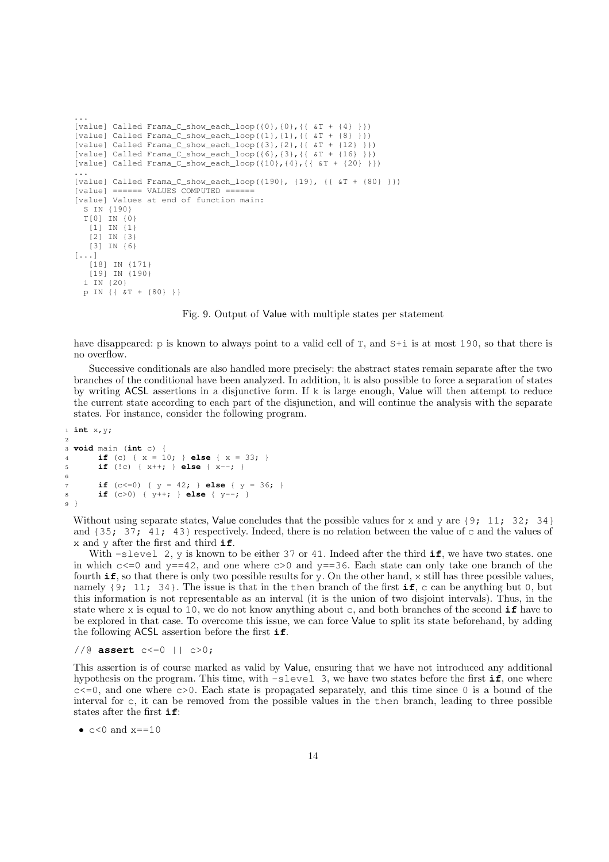```
[value] Called Frama_C_show_each_loop(\{0\},\{0\},\{\{\ \&T + \{4\} \ \}\}\)
[value] Called Frama_C_show_each_loop({1},{1},{{ \&T + {8} }})
[value] Called Frama_C_show_each_loop({3},{2},{{ \&T + {12} }})
[value] Called Frama_C_show_each_loop({6},{3},{{{ 6T + {16} } }})
[value] Called Frama_C_show_each_loop({10},{4},{{ \&T + {20} }})
...
[value] Called Frama_C_show_each_loop(\{190\}, \{19\}, \{6T + \{80\}}))
[value] ====== VALUES COMPUTED ======
[value] Values at end of function main:
 S IN {190}
 T[0] IN {0}
  [1] IN {1}
   [2] IN {3}
   [3] IN {6}
[\ldots][18] IN {171}
  [19] IN {190}
 i IN {20}
 p IN {{ &T + {80} }}
```
<span id="page-13-0"></span>Fig. 9. Output of Value with multiple states per statement

have disappeared: p is known to always point to a valid cell of T, and  $S+i$  is at most 190, so that there is no overflow.

Successive conditionals are also handled more precisely: the abstract states remain separate after the two branches of the conditional have been analyzed. In addition, it is also possible to force a separation of states by writing ACSL assertions in a disjunctive form. If k is large enough, Value will then attempt to reduce the current state according to each part of the disjunction, and will continue the analysis with the separate states. For instance, consider the following program.

```
1 int x,y;
2
3 void main (int c) {
4 if (c) { x = 10; } else { x = 33; }
5 if (!c) { x++; } else { x--; }
6
7 if (c<=0) { y = 42; } else { y = 36; }
8 if (c>0) { y++; } else { y--; }
9<sup>1</sup>
```
Without using separate states, Value concludes that the possible values for x and y are  $\{9; 11; 32; 34\}$ and  $\{35; 37; 41; 43\}$  respectively. Indeed, there is no relation between the value of c and the values of x and y after the first and third **if**.

With  $-slevel 2$ , y is known to be either 37 or 41. Indeed after the third **if**, we have two states. one in which  $c \le 0$  and  $y = 42$ , and one where  $c > 0$  and  $y = 36$ . Each state can only take one branch of the fourth **if**, so that there is only two possible results for y. On the other hand, x still has three possible values, namely {9; 11; 34}. The issue is that in the then branch of the first **if**, c can be anything but 0, but this information is not representable as an interval (it is the union of two disjoint intervals). Thus, in the state where x is equal to 10, we do not know anything about c, and both branches of the second **if** have to be explored in that case. To overcome this issue, we can force Value to split its state beforehand, by adding the following ACSL assertion before the first **if**.

$$
//@
$$
 assert  $c<=0 | | c>0;$ 

This assertion is of course marked as valid by Value, ensuring that we have not introduced any additional hypothesis on the program. This time, with -slevel 3, we have two states before the first **if**, one where  $c \leq 0$ , and one where  $c > 0$ . Each state is propagated separately, and this time since 0 is a bound of the interval for c, it can be removed from the possible values in the then branch, leading to three possible states after the first **if**:

•  $c < 0$  and  $x == 10$ 

...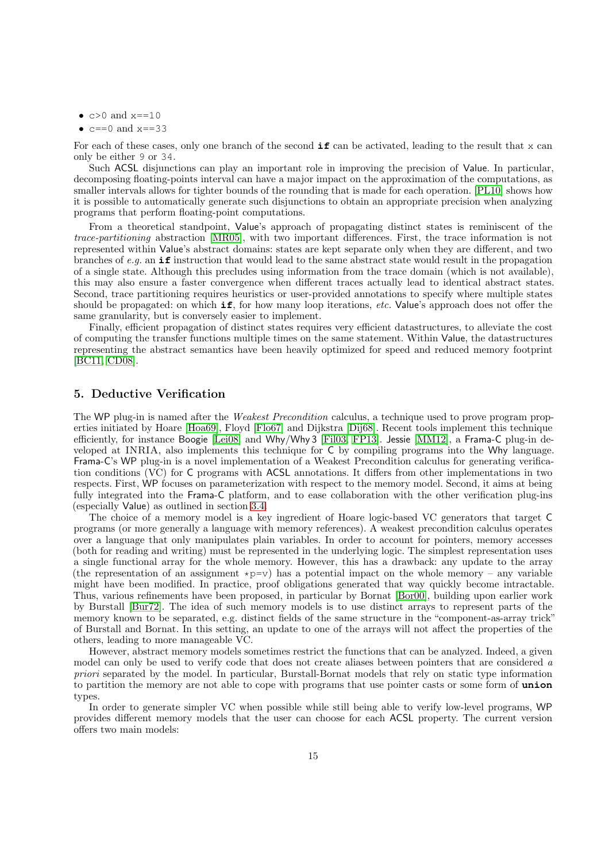- $c>0$  and  $x==10$
- $c == 0$  and  $x == 33$

For each of these cases, only one branch of the second **if** can be activated, leading to the result that x can only be either 9 or 34.

Such ACSL disjunctions can play an important role in improving the precision of Value. In particular, decomposing floating-points interval can have a major impact on the approximation of the computations, as smaller intervals allows for tighter bounds of the rounding that is made for each operation. [\[PL10\]](#page-35-9) shows how it is possible to automatically generate such disjunctions to obtain an appropriate precision when analyzing programs that perform floating-point computations.

From a theoretical standpoint, Value's approach of propagating distinct states is reminiscent of the trace-partitioning abstraction [\[MR05\]](#page-34-16), with two important differences. First, the trace information is not represented within Value's abstract domains: states are kept separate only when they are different, and two branches of e.g. an **if** instruction that would lead to the same abstract state would result in the propagation of a single state. Although this precludes using information from the trace domain (which is not available), this may also ensure a faster convergence when different traces actually lead to identical abstract states. Second, trace partitioning requires heuristics or user-provided annotations to specify where multiple states should be propagated: on which **if**, for how many loop iterations, etc. Value's approach does not offer the same granularity, but is conversely easier to implement.

Finally, efficient propagation of distinct states requires very efficient datastructures, to alleviate the cost of computing the transfer functions multiple times on the same statement. Within Value, the datastructures representing the abstract semantics have been heavily optimized for speed and reduced memory footprint [\[BC11,](#page-32-8) [CD08\]](#page-33-17).

## <span id="page-14-0"></span>5. Deductive Verification

The WP plug-in is named after the *Weakest Precondition* calculus, a technique used to prove program properties initiated by Hoare [\[Hoa69\]](#page-34-17), Floyd [\[Flo67\]](#page-34-18) and Dijkstra [\[Dij68\]](#page-33-18). Recent tools implement this technique efficiently, for instance Boogie [\[Lei08\]](#page-34-19) and Why/Why 3 [\[Fil03,](#page-34-2) [FP13\]](#page-34-3). Jessie [\[MM12\]](#page-34-4), a Frama-C plug-in developed at INRIA, also implements this technique for C by compiling programs into the Why language. Frama-C's WP plug-in is a novel implementation of a Weakest Precondition calculus for generating verification conditions (VC) for C programs with ACSL annotations. It differs from other implementations in two respects. First, WP focuses on parameterization with respect to the memory model. Second, it aims at being fully integrated into the Frama-C platform, and to ease collaboration with the other verification plug-ins (especially Value) as outlined in section [3.4.](#page-5-1)

The choice of a memory model is a key ingredient of Hoare logic-based VC generators that target C programs (or more generally a language with memory references). A weakest precondition calculus operates over a language that only manipulates plain variables. In order to account for pointers, memory accesses (both for reading and writing) must be represented in the underlying logic. The simplest representation uses a single functional array for the whole memory. However, this has a drawback: any update to the array (the representation of an assignment  $\star p=\nu$ ) has a potential impact on the whole memory – any variable might have been modified. In practice, proof obligations generated that way quickly become intractable. Thus, various refinements have been proposed, in particular by Bornat [\[Bor00\]](#page-32-9), building upon earlier work by Burstall [\[Bur72\]](#page-32-10). The idea of such memory models is to use distinct arrays to represent parts of the memory known to be separated, e.g. distinct fields of the same structure in the "component-as-array trick" of Burstall and Bornat. In this setting, an update to one of the arrays will not affect the properties of the others, leading to more manageable VC.

However, abstract memory models sometimes restrict the functions that can be analyzed. Indeed, a given model can only be used to verify code that does not create aliases between pointers that are considered a priori separated by the model. In particular, Burstall-Bornat models that rely on static type information to partition the memory are not able to cope with programs that use pointer casts or some form of **union** types.

In order to generate simpler VC when possible while still being able to verify low-level programs, WP provides different memory models that the user can choose for each ACSL property. The current version offers two main models: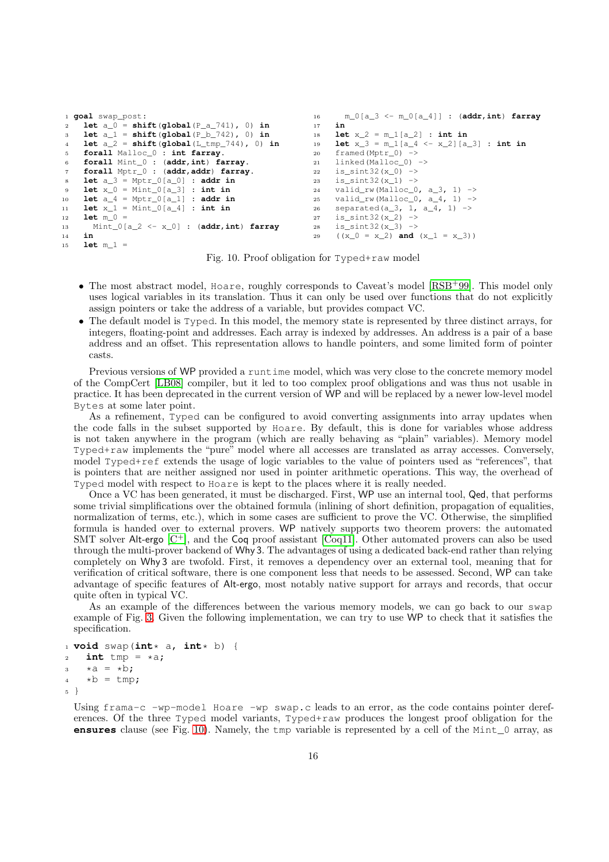```
1 goal swap_post:
2 let a_0 = shift(global(P_a_741), 0) in
3 let a_1 = shift(global(P_b_742), 0) in
4 let a_2 = shift(global(L_tmp_744), 0) in
5 forall Malloc_0 : int farray.
6 forall Mint_0 : (addr,int) farray.
7 forall Mptr_0 : (addr,addr) farray.
    let a_3 = Mptr_0[a_0] : addr in
9 let x_0 = \text{Min} \begin{bmatrix} 1 & 1 \\ 0 & 0 \end{bmatrix} : int in
10 let a_4 = Mptr_0[a_1] : addr in
11 let x_1 = Mint_0[a_4] : int in
12 let m_0 =
13 Mint_0[a_2 <- x_0] : (addr,int) farray
14 in
15 let m_1 =
                                                      16 m_0[a_3 <- m_0[a_4]] : (addr,int) farray
                                                      17 in
                                                      18 let x_2 = m_1[a_2] : int in
                                                      19 let x_3 = m_1[a_4 < -x_2][a_3] : int in
                                                      20 framed(Mptr\overline{\phantom{a}}0) ->
                                                      21 linked(Malloc_0) ->
                                                      22 is \sin t32(x) -23 is_sint32(x_1) \rightarrow24 valid_rw(Malloc_0, a_3, 1) ->
                                                      25 valid_rw(Malloc_0, a_4, 1) ->
                                                      26 separated(a_3, 1, a_4, 1) ->
                                                      27 is_sint32(x_2) ->
                                                      28 is_sint32(x_3) ->
                                                      29 ((x_0 = x_2) and (x_1 = x_3))
```

```
Fig. 10. Proof obligation for Typed+raw model
```
- The most abstract model, Hoare, roughly corresponds to Caveat's model [\[RSB](#page-35-0)+99]. This model only uses logical variables in its translation. Thus it can only be used over functions that do not explicitly assign pointers or take the address of a variable, but provides compact VC.
- The default model is Typed. In this model, the memory state is represented by three distinct arrays, for integers, floating-point and addresses. Each array is indexed by addresses. An address is a pair of a base address and an offset. This representation allows to handle pointers, and some limited form of pointer casts.

Previous versions of WP provided a runtime model, which was very close to the concrete memory model of the CompCert [\[LB08\]](#page-34-20) compiler, but it led to too complex proof obligations and was thus not usable in practice. It has been deprecated in the current version of WP and will be replaced by a newer low-level model Bytes at some later point.

As a refinement, Typed can be configured to avoid converting assignments into array updates when the code falls in the subset supported by Hoare. By default, this is done for variables whose address is not taken anywhere in the program (which are really behaving as "plain" variables). Memory model Typed+raw implements the "pure" model where all accesses are translated as array accesses. Conversely, model Typed+ref extends the usage of logic variables to the value of pointers used as "references", that is pointers that are neither assigned nor used in pointer arithmetic operations. This way, the overhead of Typed model with respect to Hoare is kept to the places where it is really needed.

Once a VC has been generated, it must be discharged. First, WP use an internal tool, Qed, that performs some trivial simplifications over the obtained formula (inlining of short definition, propagation of equalities, normalization of terms, etc.), which in some cases are sufficient to prove the VC. Otherwise, the simplified formula is handed over to external provers. WP natively supports two theorem provers: the automated SMT solver Alt-ergo  $[C^+]$  $[C^+]$ , and the Coq proof assistant  $[Coq11]$ . Other automated provers can also be used through the multi-prover backend of Why 3. The advantages of using a dedicated back-end rather than relying completely on Why 3 are twofold. First, it removes a dependency over an external tool, meaning that for verification of critical software, there is one component less that needs to be assessed. Second, WP can take advantage of specific features of Alt-ergo, most notably native support for arrays and records, that occur quite often in typical VC.

As an example of the differences between the various memory models, we can go back to our swap example of Fig. [3.](#page-4-0) Given the following implementation, we can try to use WP to check that it satisfies the specification.

```
1 void swap(int* a, int* b) {
2 int tmp = *a;
a \times a = \star b;4 \times b = \text{tmp};5 }
```
Using frama-c -wp-model Hoare -wp swap.c leads to an error, as the code contains pointer dereferences. Of the three Typed model variants, Typed+raw produces the longest proof obligation for the **ensures** clause (see Fig. [10\)](#page-15-0). Namely, the tmp variable is represented by a cell of the Mint\_0 array, as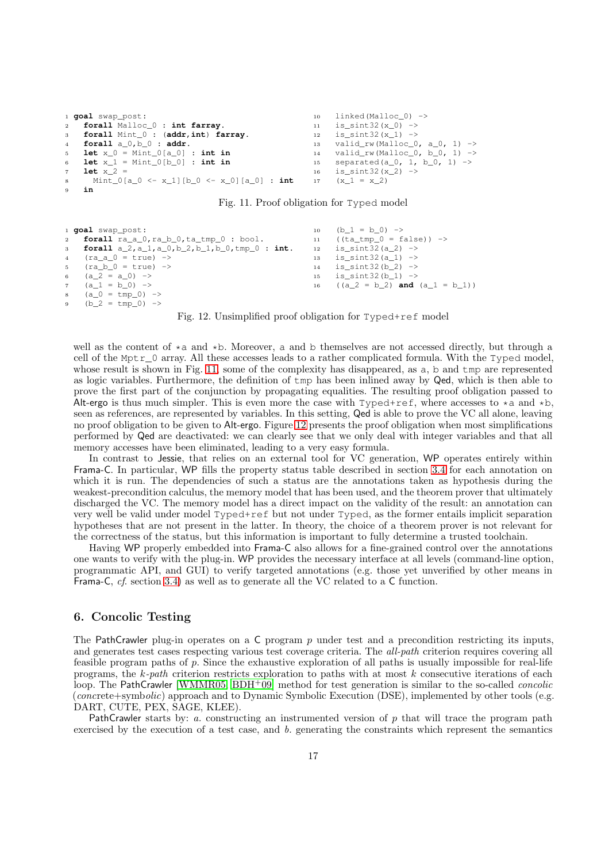```
1 goal swap_post:
2 forall Malloc_0 : int farray.
3 forall Mint_0 : (addr,int) farray.
4 forall a_0,b_0 : addr.
5 let x_0 = \overline{Mnt_0} [a_0] : int in
6 let x_1 = \text{Mint}_0^{-1} [b_0] : int in
7 let x 2 =8 Mint_0[a_0 <- x_1][b_0 <- x_0][a_0] : int
9 in
                                                    10 linked(Malloc_0) ->
                                                    11 is_sint32(x_0) ->
                                                    12 is_sint32(x_1) ->
                                                    13 valid_rw(Malloc_0, a_0, 1) \rightarrow14 valid_rw(Malloc_0, b_0, 1) ->
                                                    15 separated(a_0, 1, b_0, 1) ->
                                                    16 is_sint32(x_2) ->
                                                    17 \quad (x_1 = x_2)
```
#### <span id="page-16-1"></span>Fig. 11. Proof obligation for Typed model

```
1 goal swap_post:
2 forall ra_a_0,ra_b_0,ta_tmp_0 : bool.
3 forall a_2,a_1,a_0,b_2,b_1,b_0,tmp_0 : int.
4 (ra_a_0 = true) ->
5 \text{ (ra_b 0 = true)} \rightarrow6 (a_2 = a_0) \rightarrow7 \quad (a_1 = b_0) \rightarrow8 \t (a_0 = \text{tmp}_0) \rightarrow9 (b_2 = tmp_0) ->
                                                        10 (b_1 = b_0) ->
                                                        11 ((ta\_tmp_0 = false)) ->
                                                        12 is_sint32(a_2) ->
                                                        13 is_sint32(a_1) ->
                                                        14 is\_sint32(b_2) ->
                                                        15 is_sint32(b_1) ->
                                                        16 ((a_2 = b_2) and (a_1 = b_1))
```
<span id="page-16-2"></span>Fig. 12. Unsimplified proof obligation for Typed+ref model

well as the content of  $\star$ a and  $\star$ b. Moreover, a and b themselves are not accessed directly, but through a cell of the Mptr\_0 array. All these accesses leads to a rather complicated formula. With the Typed model, whose result is shown in Fig. [11,](#page-16-1) some of the complexity has disappeared, as a, b and tmp are represented as logic variables. Furthermore, the definition of tmp has been inlined away by Qed, which is then able to prove the first part of the conjunction by propagating equalities. The resulting proof obligation passed to Alt-ergo is thus much simpler. This is even more the case with Typed+ref, where accesses to  $\star$  a and  $\star$ b, seen as references, are represented by variables. In this setting, Qed is able to prove the VC all alone, leaving no proof obligation to be given to Alt-ergo. Figure [12](#page-16-2) presents the proof obligation when most simplifications performed by Qed are deactivated: we can clearly see that we only deal with integer variables and that all memory accesses have been eliminated, leading to a very easy formula.

In contrast to Jessie, that relies on an external tool for VC generation, WP operates entirely within Frama-C. In particular, WP fills the property status table described in section [3.4](#page-5-1) for each annotation on which it is run. The dependencies of such a status are the annotations taken as hypothesis during the weakest-precondition calculus, the memory model that has been used, and the theorem prover that ultimately discharged the VC. The memory model has a direct impact on the validity of the result: an annotation can very well be valid under model Typed+ref but not under Typed, as the former entails implicit separation hypotheses that are not present in the latter. In theory, the choice of a theorem prover is not relevant for the correctness of the status, but this information is important to fully determine a trusted toolchain.

Having WP properly embedded into Frama-C also allows for a fine-grained control over the annotations one wants to verify with the plug-in. WP provides the necessary interface at all levels (command-line option, programmatic API, and GUI) to verify targeted annotations (e.g. those yet unverified by other means in Frama-C, cf. section [3.4\)](#page-5-1) as well as to generate all the VC related to a C function.

## <span id="page-16-0"></span>6. Concolic Testing

The PathCrawler plug-in operates on a C program  $p$  under test and a precondition restricting its inputs, and generates test cases respecting various test coverage criteria. The *all-path* criterion requires covering all feasible program paths of p. Since the exhaustive exploration of all paths is usually impossible for real-life programs, the k-path criterion restricts exploration to paths with at most k consecutive iterations of each loop. The PathCrawler [\[WMMR05,](#page-35-1) [BDH](#page-32-12)+09] method for test generation is similar to the so-called *concolic* (concrete+symbolic) approach and to Dynamic Symbolic Execution (DSE), implemented by other tools (e.g. DART, CUTE, PEX, SAGE, KLEE).

PathCrawler starts by:  $a$ . constructing an instrumented version of  $p$  that will trace the program path exercised by the execution of a test case, and b. generating the constraints which represent the semantics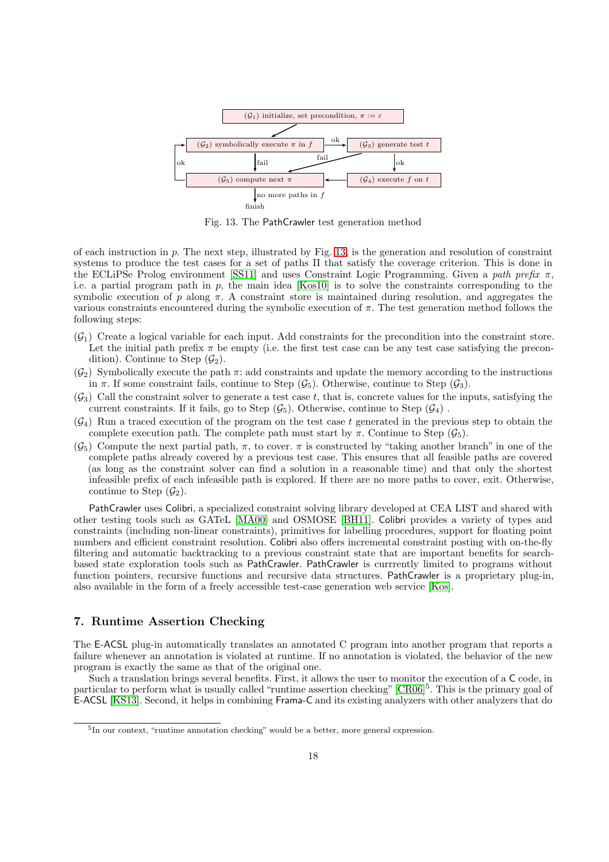

<span id="page-17-1"></span>Fig. 13. The PathCrawler test generation method

of each instruction in  $p$ . The next step, illustrated by Fig. [13,](#page-17-1) is the generation and resolution of constraint systems to produce the test cases for a set of paths Π that satisfy the coverage criterion. This is done in the ECLiPSe Prolog environment [\[SS11\]](#page-35-10) and uses Constraint Logic Programming. Given a path prefix  $\pi$ , i.e. a partial program path in p, the main idea [\[Kos10\]](#page-34-21) is to solve the constraints corresponding to the symbolic execution of p along  $\pi$ . A constraint store is maintained during resolution, and aggregates the various constraints encountered during the symbolic execution of  $\pi$ . The test generation method follows the following steps:

- $(\mathcal{G}_1)$  Create a logical variable for each input. Add constraints for the precondition into the constraint store. Let the initial path prefix  $\pi$  be empty (i.e. the first test case can be any test case satisfying the precondition). Continue to Step  $(\mathcal{G}_2)$ .
- $(\mathcal{G}_2)$  Symbolically execute the path  $\pi$ : add constraints and update the memory according to the instructions in  $\pi$ . If some constraint fails, continue to Step ( $\mathcal{G}_5$ ). Otherwise, continue to Step ( $\mathcal{G}_3$ ).
- $(\mathcal{G}_3)$  Call the constraint solver to generate a test case t, that is, concrete values for the inputs, satisfying the current constraints. If it fails, go to Step  $(\mathcal{G}_5)$ . Otherwise, continue to Step  $(\mathcal{G}_4)$ .
- $(\mathcal{G}_4)$  Run a traced execution of the program on the test case t generated in the previous step to obtain the complete execution path. The complete path must start by  $\pi$ . Continue to Step ( $\mathcal{G}_5$ ).
- $(\mathcal{G}_5)$  Compute the next partial path,  $\pi$ , to cover.  $\pi$  is constructed by "taking another branch" in one of the complete paths already covered by a previous test case. This ensures that all feasible paths are covered (as long as the constraint solver can find a solution in a reasonable time) and that only the shortest infeasible prefix of each infeasible path is explored. If there are no more paths to cover, exit. Otherwise, continue to Step  $(\mathcal{G}_2)$ .

PathCrawler uses Colibri, a specialized constraint solving library developed at CEA LIST and shared with other testing tools such as GATeL [\[MA00\]](#page-34-22) and OSMOSE [\[BH11\]](#page-32-13). Colibri provides a variety of types and constraints (including non-linear constraints), primitives for labelling procedures, support for floating point numbers and efficient constraint resolution. Colibri also offers incremental constraint posting with on-the-fly filtering and automatic backtracking to a previous constraint state that are important benefits for searchbased state exploration tools such as PathCrawler. PathCrawler is currrently limited to programs without function pointers, recursive functions and recursive data structures. PathCrawler is a proprietary plug-in, also available in the form of a freely accessible test-case generation web service [\[Kos\]](#page-34-23).

# <span id="page-17-0"></span>7. Runtime Assertion Checking

The E-ACSL plug-in automatically translates an annotated C program into another program that reports a failure whenever an annotation is violated at runtime. If no annotation is violated, the behavior of the new program is exactly the same as that of the original one.

Such a translation brings several benefits. First, it allows the user to monitor the execution of a C code, in particular to perform what is usually called "runtime assertion checking" [\[CR06\]](#page-33-20)<sup>5</sup>. This is the primary goal of E-ACSL [\[KS13\]](#page-34-24). Second, it helps in combining Frama-C and its existing analyzers with other analyzers that do

<sup>&</sup>lt;sup>5</sup>In our context, "runtime annotation checking" would be a better, more general expression.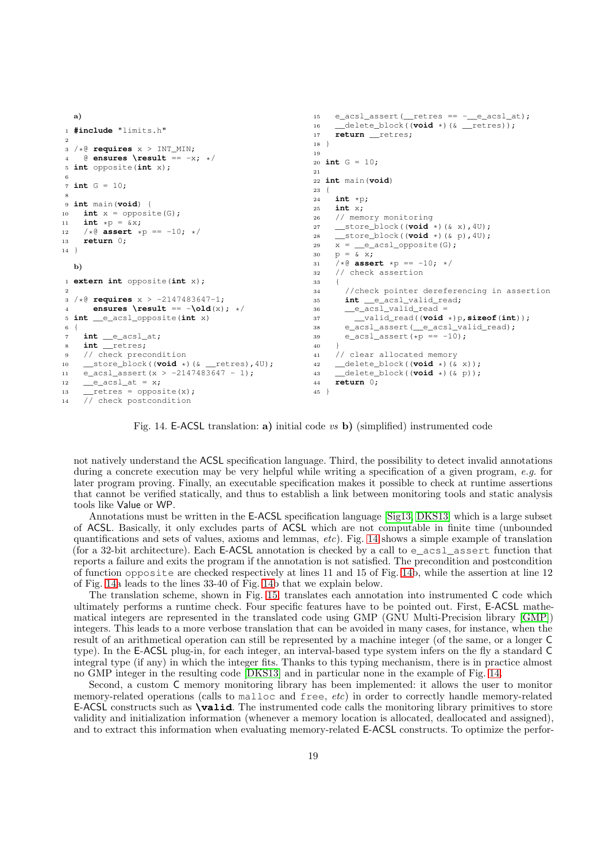```
a)
1 #include "limits.h"
 2
3 /*@ requires x > INT_MIN;
4 \theta ensures \result == -x; */
5 int opposite(int x);
 6
7 int G = 10;
 8
9 int main(void) {
10 int x = \text{omposite}(G):
11 int *{\bf p} = \&{\bf x};<br>12 /*{\bf \theta} assert *{\bf \theta}12 /* assert  *p == -10; * /<br>13 return 0;
     return 0;
14 }
   b)
 1 extern int opposite(int x);
\overline{2}3 /*@ requires x > -2147483647-1;
4 ensures \result == -\old(x); *<br>5 int e_acsl_opposite(int x)
  5 int __e_acsl_opposite(int x)
6 {
7 int __e_acsl_at;
 8 int __retres;
9 // check precondition
10 __store_block((void *)(& __retres),4U);
     e_acsl_assert(x > -2147483647 - 1);
12 \qquad \qquad e_acsl_at = x;
13 T = 5 T = 0 T = 0 T = 1;
14 // check postcondition
                                                              15 e_acsl_assert(__retres == -__e_acsl_at);
                                                              16 __delete_block((void *)(& __retres));
                                                              17 return __retres;
                                                              18 }
                                                              19
                                                              20 int G = 10;
                                                              21
                                                              22 int main(void)
                                                              23 {
                                                              \frac{24}{25} int *p;
                                                                    int x:
                                                              26 // memory monitoring
                                                              27 __store_block((void *)(& x),4U);
                                                              28 __store_block((void *)(& p),4U);<br>29 x = e acsl opposite(G):
                                                                    x = \underline{\hspace{1cm}} e\_acsl\_opposite(G);30 p = \frac{1}{\&{x}}31 /* assert  *p == -10; */<br>32 // check assertion
                                                                    // check assertion
                                                              33 {
                                                              34 //check pointer dereferencing in assertion
                                                              35 int __e_acsl_valid_read;
                                                              36 __e_acsl_valid_read =
                                                              37 __valid_read((void *)p,sizeof(int));
                                                                       e_acsl_assert(_e_acsl_valid_read);
                                                              39 \qquad e\_acsl\_assert(*p == -10);4041 // clear allocated memory
                                                              42 __delete_block((void *)(& x));
                                                              43 \frac{\text{delete\_block}(\text{void }*) (\& p))}{\text{return } 0:}44 return 0;
                                                              45 }
```
<span id="page-18-0"></span>Fig. 14. E-ACSL translation: a) initial code  $vs$  b) (simplified) instrumented code

not natively understand the ACSL specification language. Third, the possibility to detect invalid annotations during a concrete execution may be very helpful while writing a specification of a given program, e.g. for later program proving. Finally, an executable specification makes it possible to check at runtime assertions that cannot be verified statically, and thus to establish a link between monitoring tools and static analysis tools like Value or WP.

Annotations must be written in the E-ACSL specification language [\[Sig13,](#page-35-11) [DKS13\]](#page-33-21) which is a large subset of ACSL. Basically, it only excludes parts of ACSL which are not computable in finite time (unbounded quantifications and sets of values, axioms and lemmas,  $etc$ ). Fig. [14](#page-18-0) shows a simple example of translation (for a 32-bit architecture). Each **E-ACSL** annotation is checked by a call to  $e$ <sub>acsl</sub> assert function that reports a failure and exits the program if the annotation is not satisfied. The precondition and postcondition of function opposite are checked respectively at lines 11 and 15 of Fig. [14b](#page-18-0), while the assertion at line 12 of Fig. [14a](#page-18-0) leads to the lines 33-40 of Fig. [14b](#page-18-0) that we explain below.

The translation scheme, shown in Fig. [15,](#page-19-1) translates each annotation into instrumented C code which ultimately performs a runtime check. Four specific features have to be pointed out. First, E-ACSL mathematical integers are represented in the translated code using GMP (GNU Multi-Precision library [\[GMP\]](#page-34-25)) integers. This leads to a more verbose translation that can be avoided in many cases, for instance, when the result of an arithmetical operation can still be represented by a machine integer (of the same, or a longer C type). In the E-ACSL plug-in, for each integer, an interval-based type system infers on the fly a standard C integral type (if any) in which the integer fits. Thanks to this typing mechanism, there is in practice almost no GMP integer in the resulting code [\[DKS13\]](#page-33-21) and in particular none in the example of Fig. [14.](#page-18-0)

Second, a custom C memory monitoring library has been implemented: it allows the user to monitor memory-related operations (calls to malloc and free, etc) in order to correctly handle memory-related E-ACSL constructs such as **\valid**. The instrumented code calls the monitoring library primitives to store validity and initialization information (whenever a memory location is allocated, deallocated and assigned), and to extract this information when evaluating memory-related E-ACSL constructs. To optimize the perfor-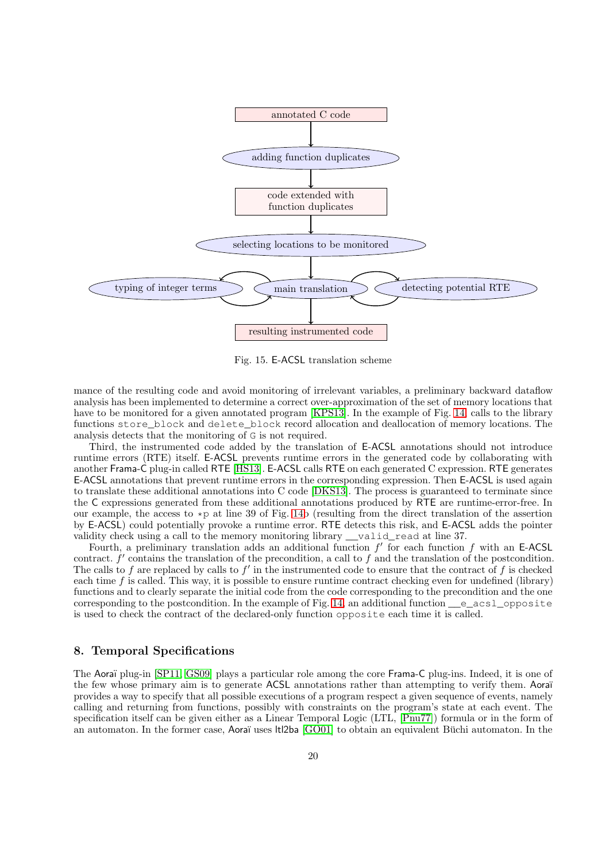

<span id="page-19-1"></span>Fig. 15. E-ACSL translation scheme

mance of the resulting code and avoid monitoring of irrelevant variables, a preliminary backward dataflow analysis has been implemented to determine a correct over-approximation of the set of memory locations that have to be monitored for a given annotated program [\[KPS13\]](#page-34-26). In the example of Fig. [14,](#page-18-0) calls to the library functions store\_block and delete\_block record allocation and deallocation of memory locations. The analysis detects that the monitoring of G is not required.

Third, the instrumented code added by the translation of E-ACSL annotations should not introduce runtime errors (RTE) itself. E-ACSL prevents runtime errors in the generated code by collaborating with another Frama-C plug-in called RTE [\[HS13\]](#page-34-27). E-ACSL calls RTE on each generated C expression. RTE generates E-ACSL annotations that prevent runtime errors in the corresponding expression. Then E-ACSL is used again to translate these additional annotations into C code [\[DKS13\]](#page-33-21). The process is guaranteed to terminate since the C expressions generated from these additional annotations produced by RTE are runtime-error-free. In our example, the access to  $\star p$  at line 39 of Fig. [14b](#page-18-0) (resulting from the direct translation of the assertion by E-ACSL) could potentially provoke a runtime error. RTE detects this risk, and E-ACSL adds the pointer validity check using a call to the memory monitoring library \_\_valid\_read at line 37.

Fourth, a preliminary translation adds an additional function  $f'$  for each function  $f$  with an **E-ACSL** contract.  $f'$  contains the translation of the precondition, a call to  $f$  and the translation of the postcondition. The calls to f are replaced by calls to  $f'$  in the instrumented code to ensure that the contract of f is checked each time  $f$  is called. This way, it is possible to ensure runtime contract checking even for undefined (library) functions and to clearly separate the initial code from the code corresponding to the precondition and the one corresponding to the postcondition. In the example of Fig. [14,](#page-18-0) an additional function \_\_e\_acsl\_opposite is used to check the contract of the declared-only function opposite each time it is called.

# <span id="page-19-0"></span>8. Temporal Specifications

The Aoraï plug-in [\[SP11,](#page-35-12) [GS09\]](#page-34-28) plays a particular role among the core Frama-C plug-ins. Indeed, it is one of the few whose primary aim is to generate ACSL annotations rather than attempting to verify them. Aoraï provides a way to specify that all possible executions of a program respect a given sequence of events, namely calling and returning from functions, possibly with constraints on the program's state at each event. The specification itself can be given either as a Linear Temporal Logic (LTL, [\[Pnu77\]](#page-35-13)) formula or in the form of an automaton. In the former case, Aoraïuses ltl2ba [\[GO01\]](#page-34-29) to obtain an equivalent Büchi automaton. In the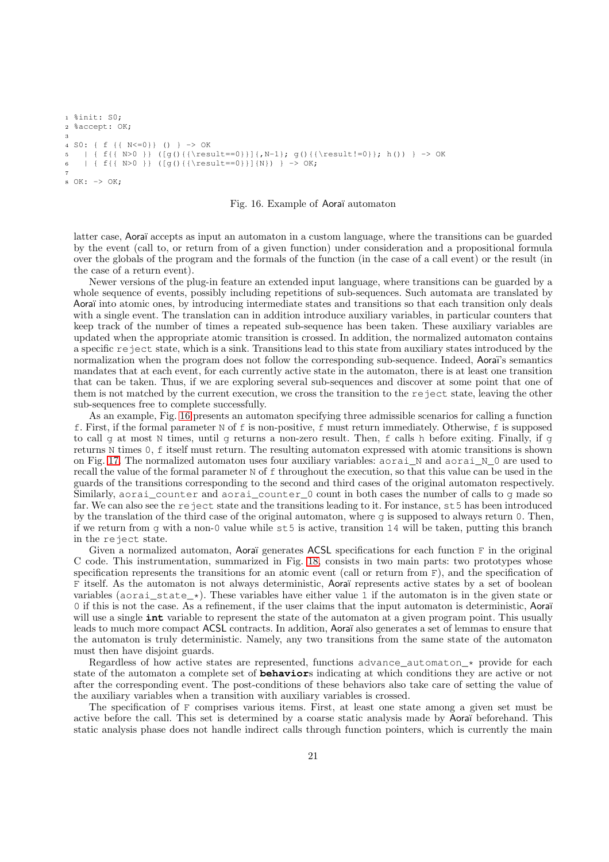```
1 %init: S0;
2 %accept: OK;
3
4 S0: { f {{ N<=0}} () } -> OK
5 | { f{{ N>0 }} ([g(){{\result==0}}]{,N-1}; g(){{\result!=0}}; h()) } -> OK
    | { f({ N>0 }) } ( [g()({ \reshalt==0}) ]{N}) > -> OK;7
8 OK: \rightarrow OK:
```
#### <span id="page-20-0"></span>Fig. 16. Example of Aoraï automaton

latter case, Aora¨ı accepts as input an automaton in a custom language, where the transitions can be guarded by the event (call to, or return from of a given function) under consideration and a propositional formula over the globals of the program and the formals of the function (in the case of a call event) or the result (in the case of a return event).

Newer versions of the plug-in feature an extended input language, where transitions can be guarded by a whole sequence of events, possibly including repetitions of sub-sequences. Such automata are translated by Aoraï into atomic ones, by introducing intermediate states and transitions so that each transition only deals with a single event. The translation can in addition introduce auxiliary variables, in particular counters that keep track of the number of times a repeated sub-sequence has been taken. These auxiliary variables are updated when the appropriate atomic transition is crossed. In addition, the normalized automaton contains a specific reject state, which is a sink. Transitions lead to this state from auxiliary states introduced by the normalization when the program does not follow the corresponding sub-sequence. Indeed, Aoraï's semantics mandates that at each event, for each currently active state in the automaton, there is at least one transition that can be taken. Thus, if we are exploring several sub-sequences and discover at some point that one of them is not matched by the current execution, we cross the transition to the reject state, leaving the other sub-sequences free to complete successfully.

As an example, Fig. [16](#page-20-0) presents an automaton specifying three admissible scenarios for calling a function f. First, if the formal parameter N of f is non-positive, f must return immediately. Otherwise, f is supposed to call g at most N times, until g returns a non-zero result. Then, f calls h before exiting. Finally, if g returns N times 0, f itself must return. The resulting automaton expressed with atomic transitions is shown on Fig. [17.](#page-21-0) The normalized automaton uses four auxiliary variables: aorai\_N and aorai\_N\_0 are used to recall the value of the formal parameter N of f throughout the execution, so that this value can be used in the guards of the transitions corresponding to the second and third cases of the original automaton respectively. Similarly, aorai\_counter and aorai\_counter\_0 count in both cases the number of calls to g made so far. We can also see the reject state and the transitions leading to it. For instance, st5 has been introduced by the translation of the third case of the original automaton, where g is supposed to always return 0. Then, if we return from g with a non-0 value while st5 is active, transition 14 will be taken, putting this branch in the reject state.

Given a normalized automaton, Aoraï generates  $ACSL$  specifications for each function  $F$  in the original C code. This instrumentation, summarized in Fig. [18,](#page-22-0) consists in two main parts: two prototypes whose specification represents the transitions for an atomic event (call or return from F), and the specification of F itself. As the automaton is not always deterministic, Aoraï represents active states by a set of boolean variables (aorai\_state\_ $\star$ ). These variables have either value 1 if the automaton is in the given state or 0 if this is not the case. As a refinement, if the user claims that the input automaton is deterministic, Aoraï will use a single **int** variable to represent the state of the automaton at a given program point. This usually leads to much more compact ACSL contracts. In addition, Aoraï also generates a set of lemmas to ensure that the automaton is truly deterministic. Namely, any two transitions from the same state of the automaton must then have disjoint guards.

Regardless of how active states are represented, functions advance\_automaton\_ $\star$  provide for each state of the automaton a complete set of **behavior**s indicating at which conditions they are active or not after the corresponding event. The post-conditions of these behaviors also take care of setting the value of the auxiliary variables when a transition with auxiliary variables is crossed.

The specification of F comprises various items. First, at least one state among a given set must be active before the call. This set is determined by a coarse static analysis made by Aoraï beforehand. This static analysis phase does not handle indirect calls through function pointers, which is currently the main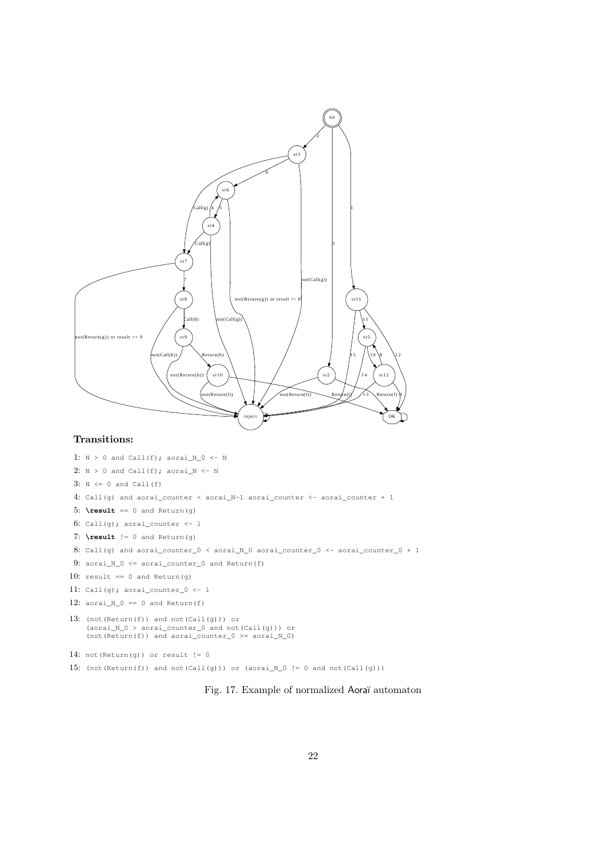

## Transitions:

- 1:  $N > 0$  and Call(f); aorai\_N\_0 <- N
- 2:  $N > 0$  and Call(f); aorai\_N <- N
- $3: N \leq 0$  and Call(f)
- 4: Call(g) and aorai\_counter < aorai\_N-1 aorai\_counter <- aorai\_counter + 1
- 5:  $\text{result} == 0$  and Return(g)
- 6: Call(g);  $\arctan 6$ : Call(g);  $\arctan 6$
- 7: **\result** != 0 and Return(g)
- 8: Call(g) and aorai\_counter\_0 < aorai\_N\_0 aorai\_counter\_0 <- aorai\_counter\_0 + 1
- 9:  $aoral_N_0 \leq aoral_counter_0$  and  $Return(f)$
- 10:  $result == 0$  and  $Return(g)$
- 11: Call(g);  $aorai_counter_0 < -1$
- 12:  $\arctan_0 = 0$  and Return(f)
- 13: (not(Return(f)) and not(Call(g))) or  $(aorai_N_0 > aorai_counter_0 and not (Call(g)))$  or  $(not(Retur(f))$  and  $aorai_counter_0 > = aorai_N_0)$

```
14: not (Return(g)) or result != 0
```

```
15: (\text{not}(\text{Return}(f)) and \text{not}(\text{Call}(g))) or (\text{aorai_N_0 := 0 \text{ and not}(\text{Call}(g)))
```
<span id="page-21-0"></span>Fig. 17. Example of normalized Aora¨ı automaton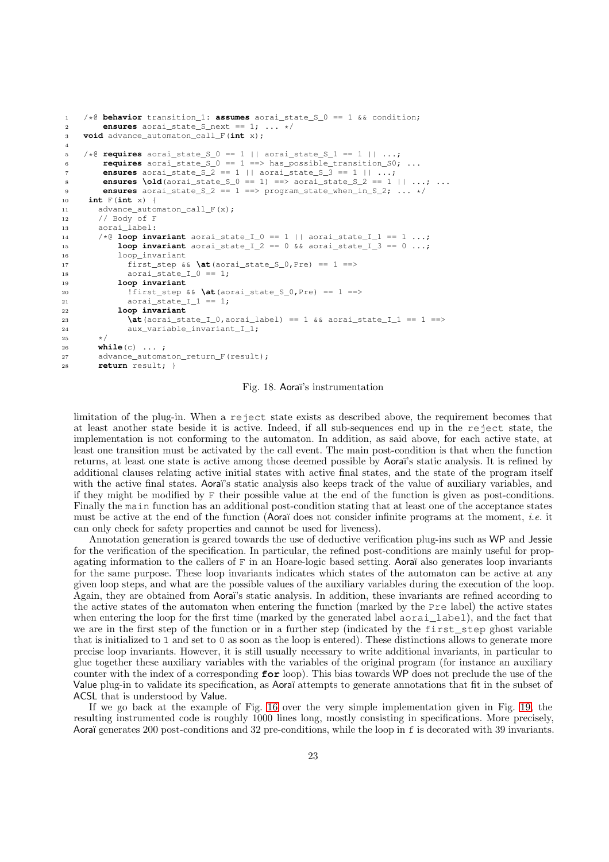```
1 /*@ behavior transition_1: assumes aorai_state_S_0 == 1 && condition;
            ensures aorai_state_S_next == 1; \ldots */
3 void advance_automaton_call_F(int x);
 4
 5 /*@ requires aorai_state_S_0 == 1 || aorai_state_S_1 == 1 || ...;<br>6 requires aorai state S 0 == 1 ==> has possible transition S0;
            requires aorai_state_S_0 == 1 ==> has_possible_transition_S0; ...
 \frac{1}{7} ensures aorai_state_S_2 == 1 || aorai_state_S_3 == 1 || ...;
 8 ensures \old(aorai_state_S_0 == 1) ==> aorai_state_S_2 == 1 || ...; ...
9 ensures aorai_state_S_2 == 1 ==> program_state_when_in_S_2; \dots */<br>10 int F(int x) {
        10 int F(int x) {
11 advance_automaton_call_F(x);
12 // Body of F
13 aorai_label:
14 /*@ loop invariant aorai_state_I_0 == 1 || aorai_state_I_1 == 1 ...;
15 loop invariant aorai_state_I_2 == 0 && aorai_state_I_3 == 0 ...;
16 loop_invariant
17 first_step && \at(aorai_state_S_0,Pre) == 1 ==>
18 \arctan \left( \arctan \left( \arctan \left( \arctan \left( \arctan \left( \arctan \left( \arctan \left( \arctan \left( \arctan \left( \arctan \left( \arctan \left( \arctan \left( \arctan \left( \arctan \left( \arctan \left( \arctan \left( \arctan \left( \arctan \left( \arctan \left( \arctan \left( \arctan \left( \arctan \left( \arctan \left( \arctan \left( \arctan \left( \arctan \left( \arctan \left( \arctan \left( \arctan \left( \arctan \left( \arctan \left(19 loop invariant
20 !first_step && \at(aorai_state_S_0,Pre) == 1 ==>
21 aorai_state_I_1 == 1;
22 loop invariant
23 \at(aorai_state_I_0,aorai_label) == 1 \& aorai_state_I_1 == 1 ==>
24 aux_variable_invariant_I_1;
\begin{array}{ccc} 25 & & \star \ / \ 26 & & \textbf{wh} \end{array}while(c) ...;27 advance_automaton_return_F(result);
28 return result; }
```
<span id="page-22-0"></span>Fig. 18. Aoraï's instrumentation

limitation of the plug-in. When a reject state exists as described above, the requirement becomes that at least another state beside it is active. Indeed, if all sub-sequences end up in the reject state, the implementation is not conforming to the automaton. In addition, as said above, for each active state, at least one transition must be activated by the call event. The main post-condition is that when the function returns, at least one state is active among those deemed possible by Aora¨ı's static analysis. It is refined by additional clauses relating active initial states with active final states, and the state of the program itself with the active final states. Aoraï's static analysis also keeps track of the value of auxiliary variables, and if they might be modified by F their possible value at the end of the function is given as post-conditions. Finally the main function has an additional post-condition stating that at least one of the acceptance states must be active at the end of the function (Aora¨ı does not consider infinite programs at the moment, i.e. it can only check for safety properties and cannot be used for liveness).

Annotation generation is geared towards the use of deductive verification plug-ins such as WP and Jessie for the verification of the specification. In particular, the refined post-conditions are mainly useful for propagating information to the callers of F in an Hoare-logic based setting. Aoraï also generates loop invariants for the same purpose. These loop invariants indicates which states of the automaton can be active at any given loop steps, and what are the possible values of the auxiliary variables during the execution of the loop. Again, they are obtained from Aora¨ı's static analysis. In addition, these invariants are refined according to the active states of the automaton when entering the function (marked by the Pre label) the active states when entering the loop for the first time (marked by the generated label aorai label), and the fact that we are in the first step of the function or in a further step (indicated by the first step ghost variable that is initialized to 1 and set to 0 as soon as the loop is entered). These distinctions allows to generate more precise loop invariants. However, it is still usually necessary to write additional invariants, in particular to glue together these auxiliary variables with the variables of the original program (for instance an auxiliary counter with the index of a corresponding **for** loop). This bias towards WP does not preclude the use of the Value plug-in to validate its specification, as Aora¨ı attempts to generate annotations that fit in the subset of ACSL that is understood by Value.

If we go back at the example of Fig. [16](#page-20-0) over the very simple implementation given in Fig. [19,](#page-23-1) the resulting instrumented code is roughly 1000 lines long, mostly consisting in specifications. More precisely, Aoraï generates 200 post-conditions and 32 pre-conditions, while the loop in f is decorated with 39 invariants.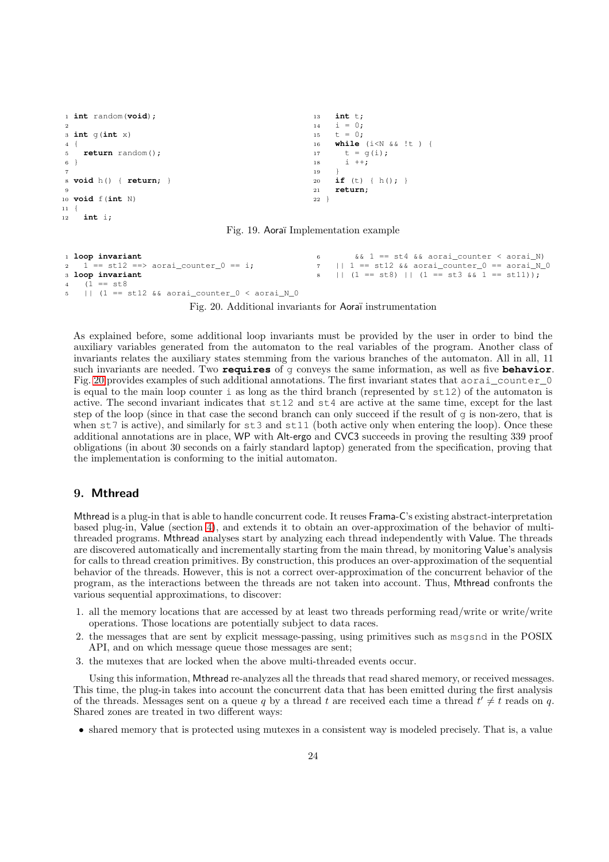```
1 int random(void);
 2
3 int g(int x)
4 {
5 return random();
6 }
7
  8 void h() { return; }
\overline{9}10 void f(int N)
11 {
12 int i;
                                                        13 int t;
                                                        14 i = 0;15 t = 0;16 while (i<N && !t ) {
                                                        17 t = q(i);18 i + i\overline{18}20 if (t) { h(); }
                                                        21 return;
                                                        22 }
```
<span id="page-23-1"></span>Fig. 19. Aora¨ı Implementation example

```
1 loop invariant
2 \quad 1 == st12 = \Rightarrow aorai_counter_0 = = i;
3 loop invariant
  (1 == st8)5 || (1 == st12 && aorai_counter_0 < aorai_N_0
                                                     6 & 1 == st4 & aorai_counter < aorai_N)
                                                     7 || 1 == st12 && aorai_counter_0 == aorai_N_0
                                                         | | (1 == st8) || (1 == st3 && 1 == st11));
```
<span id="page-23-2"></span>Fig. 20. Additional invariants for Aoraï instrumentation

As explained before, some additional loop invariants must be provided by the user in order to bind the auxiliary variables generated from the automaton to the real variables of the program. Another class of invariants relates the auxiliary states stemming from the various branches of the automaton. All in all, 11 such invariants are needed. Two **requires** of g conveys the same information, as well as five **behavior**. Fig. [20](#page-23-2) provides examples of such additional annotations. The first invariant states that aorai\_counter\_0 is equal to the main loop counter i as long as the third branch (represented by st12) of the automaton is active. The second invariant indicates that st12 and st4 are active at the same time, except for the last step of the loop (since in that case the second branch can only succeed if the result of g is non-zero, that is when  $st7$  is active), and similarly for  $st3$  and  $st11$  (both active only when entering the loop). Once these additional annotations are in place, WP with Alt-ergo and CVC3 succeeds in proving the resulting 339 proof obligations (in about 30 seconds on a fairly standard laptop) generated from the specification, proving that the implementation is conforming to the initial automaton.

# <span id="page-23-0"></span>9. Mthread

Mthread is a plug-in that is able to handle concurrent code. It reuses Frama-C's existing abstract-interpretation based plug-in, Value (section [4\)](#page-6-0), and extends it to obtain an over-approximation of the behavior of multithreaded programs. Mthread analyses start by analyzing each thread independently with Value. The threads are discovered automatically and incrementally starting from the main thread, by monitoring Value's analysis for calls to thread creation primitives. By construction, this produces an over-approximation of the sequential behavior of the threads. However, this is not a correct over-approximation of the concurrent behavior of the program, as the interactions between the threads are not taken into account. Thus, Mthread confronts the various sequential approximations, to discover:

- 1. all the memory locations that are accessed by at least two threads performing read/write or write/write operations. Those locations are potentially subject to data races.
- 2. the messages that are sent by explicit message-passing, using primitives such as msgsnd in the POSIX API, and on which message queue those messages are sent;
- 3. the mutexes that are locked when the above multi-threaded events occur.

Using this information, Mthread re-analyzes all the threads that read shared memory, or received messages. This time, the plug-in takes into account the concurrent data that has been emitted during the first analysis of the threads. Messages sent on a queue q by a thread t are received each time a thread  $t' \neq t$  reads on q. Shared zones are treated in two different ways:

• shared memory that is protected using mutexes in a consistent way is modeled precisely. That is, a value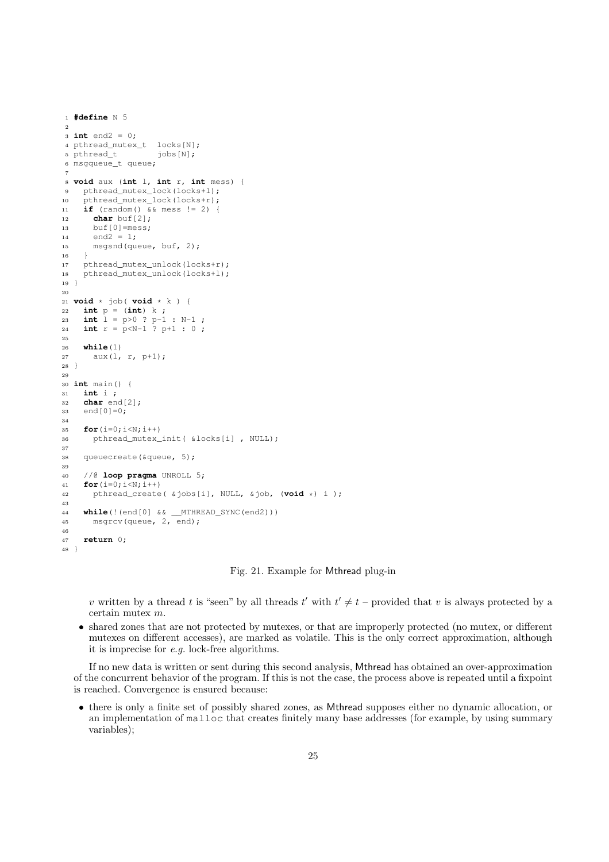```
1 #define N 5
2
3 int end2 = 0;
4 pthread_mutex_t locks[N];
5 pthread_t jobs[N];
6 msgqueue_t queue;
 7
8 void aux (int l, int r, int mess) {
9 pthread_mutex_lock(locks+l);
10 pthread_mutex_lock(locks+r);
11 if (random() && mess != 2) {
12 char buf[2];
13 buf[0]=mess;
14 end2 = 1;
15 msgsnd(queue, buf, 2);
16 }
17 pthread_mutex_unlock(locks+r);
18 pthread_mutex_unlock(locks+l);
19 }
20
21 void * job( void * k ) {<br>22 int p = (int) k ;
22 int p = (int) k ;
23 int l = p>0 ? p-1 : N-1 ;
24 int r = p < N-1 ? p+1 : 0;
25
26 while(1)
27 aux (1, r, p+1);
28 }
29
30 int main() {
31 int i ;
32 char end[2];
33 end [0] = 0;34
35 for(i=0; i < N; i++)36 pthread_mutex_init( &locks[i] , NULL);
37
38 queuecreate(&queue, 5);
39
40 //@ loop pragma UNROLL 5;
41 for(i=0;i<N;i++)
42 pthread_create( &jobs[i], NULL, &job, (void *) i );
43
44 while(!(end[0] && __MTHREAD_SYNC(end2)))
45 msgrcv(queue, 2, end);
46
47 return 0;
48 }
```
<span id="page-24-0"></span>Fig. 21. Example for Mthread plug-in

v written by a thread t is "seen" by all threads t' with  $t' \neq t$  – provided that v is always protected by a certain mutex m.

• shared zones that are not protected by mutexes, or that are improperly protected (no mutex, or different mutexes on different accesses), are marked as volatile. This is the only correct approximation, although it is imprecise for e.g. lock-free algorithms.

If no new data is written or sent during this second analysis, Mthread has obtained an over-approximation of the concurrent behavior of the program. If this is not the case, the process above is repeated until a fixpoint is reached. Convergence is ensured because:

• there is only a finite set of possibly shared zones, as Mthread supposes either no dynamic allocation, or an implementation of malloc that creates finitely many base addresses (for example, by using summary variables);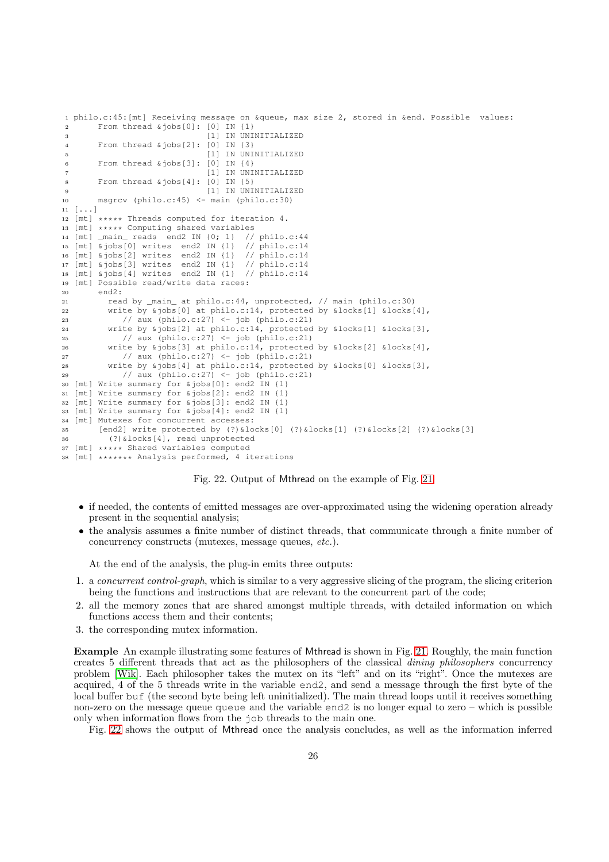```
1 philo.c:45:[mt] Receiving message on &queue, max size 2, stored in &end. Possible values:
2 From thread &jobs[0]: [0] IN {1}
3 12 IN 1999 12 IN INTERNATIVE DESCRIPTION OF A LIGAN CONTRACT OF A LIGAN CONTRACT OF A LIGAN CONTRACT OF A LIGAN CONTRACT OF A LIGA
 4 From thread &jobs[2]: [0] IN {3}
 5 [1] IN UNINITIALIZED
 6 From thread \deltajobs[3]: [0] IN \{4\}7 [1] IN UNINITIALIZED
 8 From thread &jobs[4]: [0] IN {5}
9 [1] IN UNINITIALIZED
10 msgrcv (philo.c:45) <- main (philo.c:30)
11 [...]
12 [mt] ***** Threads computed for iteration 4.<br>13 [mt] ***** Computing shared variables
  [mt] ***** Computing shared variables<br>[mt] _main_ reads end2 IN \{0; 1\} // philo.c:44
14 [mt] _{main} reads end2 IN \{0; 1\}15 [mt] &jobs[0] writes end2 IN {1} // philo.c:14
16 [mt] &jobs[2] writes end2 IN \{1\} // philo.c:14<br>17 [mt] &jobs[3] writes end2 IN \{1\} // philo.c:14
17 [mt] &jobs[3] writes
18 [mt] &jobs[4] writes end2 IN {1} // philo.c:14
19 [mt] Possible read/write data races:
20 end2:
21 read by _main_ at philo.c:44, unprotected, // main (philo.c:30)
22 write by \&i\text{obs}[0] at philo.c:14, protected by \&\text{locks}[1] \&\text{locks}[4],
23 // aux (philo.c:27) <- job (philo.c:21)
24 write by &jobs[2] at philo.c:14, protected by &locks[1] &locks[3],
25 // aux (philo.c:27) <- job (philo.c:21)
26 write by &jobs[3] at philo.c:14, protected by &locks[2] &locks[4],
27 // aux (philo.c:27) \leftarrow job (philo.c:21)
28 write by &jobs[4] at philo.c:14, protected by &locks[0] &locks[3],
29 // aux (philo.c:27) <- job (philo.c:21)
30 [mt] Write summary for &jobs[0]: end2 IN {1}
31 [mt] Write summary for &jobs[2]: end2 IN {1}
32 [mt] Write summary for &jobs[3]: end2 IN {1}
33 [mt] Write summary for &jobs[4]: end2 IN {1}
34 [mt] Mutexes for concurrent accesses:<br>35 [end2] write protected by (?)&lo
        35 [end2] write protected by (?)&locks[0] (?)&locks[1] (?)&locks[2] (?)&locks[3]
36 (?)&locks[4], read unprotected
37 [mt] ***** Shared variables computed
38 [mt] ******* Analysis performed, 4 iterations
```
<span id="page-25-0"></span>

- if needed, the contents of emitted messages are over-approximated using the widening operation already present in the sequential analysis;
- the analysis assumes a finite number of distinct threads, that communicate through a finite number of concurrency constructs (mutexes, message queues, etc.).

At the end of the analysis, the plug-in emits three outputs:

- 1. a concurrent control-graph, which is similar to a very aggressive slicing of the program, the slicing criterion being the functions and instructions that are relevant to the concurrent part of the code;
- 2. all the memory zones that are shared amongst multiple threads, with detailed information on which functions access them and their contents;
- 3. the corresponding mutex information.

Example An example illustrating some features of Mthread is shown in Fig. [21.](#page-24-0) Roughly, the main function creates 5 different threads that act as the philosophers of the classical dining philosophers concurrency problem [\[Wik\]](#page-35-14). Each philosopher takes the mutex on its "left" and on its "right". Once the mutexes are acquired, 4 of the 5 threads write in the variable end2, and send a message through the first byte of the local buffer buf (the second byte being left uninitialized). The main thread loops until it receives something non-zero on the message queue queue and the variable end2 is no longer equal to zero – which is possible only when information flows from the job threads to the main one.

Fig. [22](#page-25-0) shows the output of Mthread once the analysis concludes, as well as the information inferred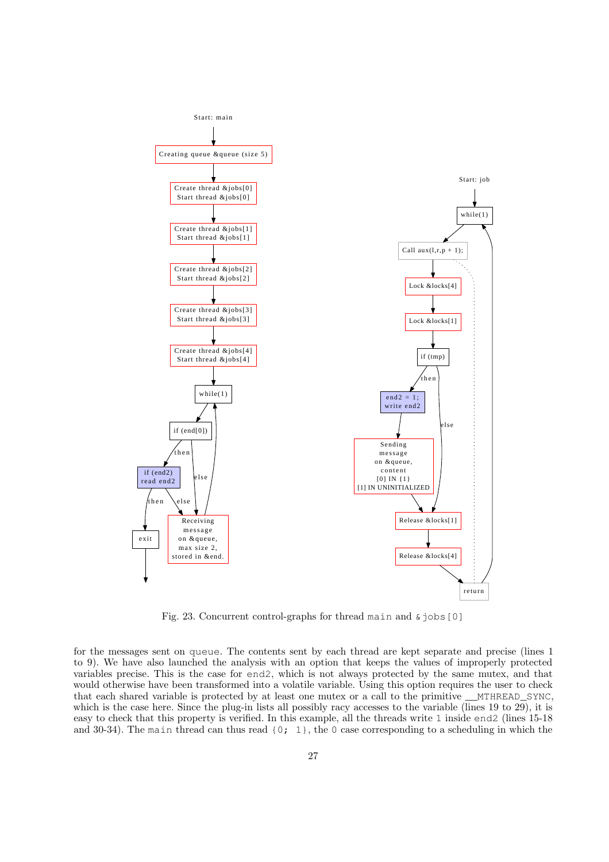

<span id="page-26-0"></span>Fig. 23. Concurrent control-graphs for thread main and  $\&jobs[0]$ 

for the messages sent on queue. The contents sent by each thread are kept separate and precise (lines 1 to 9). We have also launched the analysis with an option that keeps the values of improperly protected variables precise. This is the case for end2, which is not always protected by the same mutex, and that would otherwise have been transformed into a volatile variable. Using this option requires the user to check that each shared variable is protected by at least one mutex or a call to the primitive \_\_MTHREAD\_SYNC, which is the case here. Since the plug-in lists all possibly racy accesses to the variable (lines 19 to 29), it is easy to check that this property is verified. In this example, all the threads write 1 inside end2 (lines 15-18 and 30-34). The main thread can thus read  $\{0; 1\}$ , the 0 case corresponding to a scheduling in which the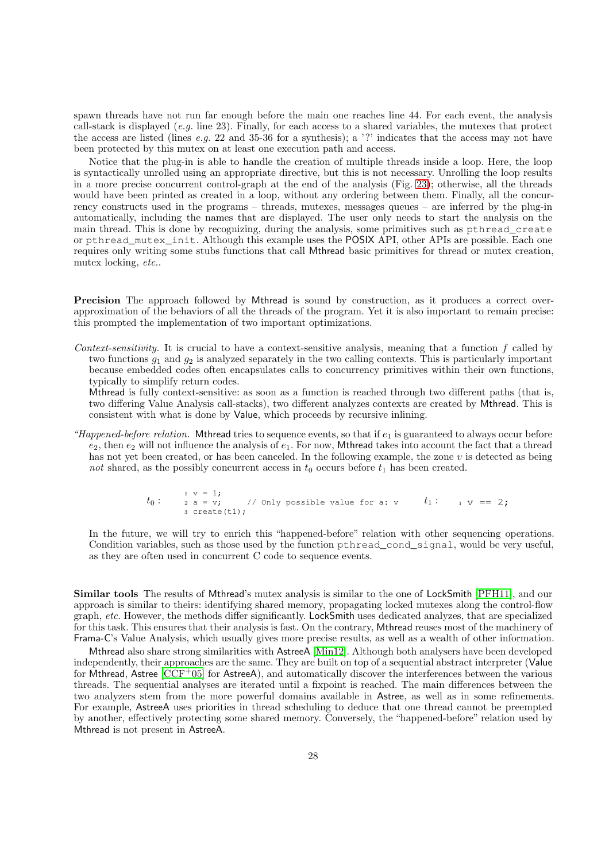spawn threads have not run far enough before the main one reaches line 44. For each event, the analysis call-stack is displayed (e.g. line 23). Finally, for each access to a shared variables, the mutexes that protect the access are listed (lines e.g. 22 and 35-36 for a synthesis); a '?' indicates that the access may not have been protected by this mutex on at least one execution path and access.

Notice that the plug-in is able to handle the creation of multiple threads inside a loop. Here, the loop is syntactically unrolled using an appropriate directive, but this is not necessary. Unrolling the loop results in a more precise concurrent control-graph at the end of the analysis (Fig. [23\)](#page-26-0); otherwise, all the threads would have been printed as created in a loop, without any ordering between them. Finally, all the concurrency constructs used in the programs – threads, mutexes, messages queues – are inferred by the plug-in automatically, including the names that are displayed. The user only needs to start the analysis on the main thread. This is done by recognizing, during the analysis, some primitives such as pthread\_create or pthread\_mutex\_init. Although this example uses the POSIX API, other APIs are possible. Each one requires only writing some stubs functions that call Mthread basic primitives for thread or mutex creation, mutex locking, etc..

Precision The approach followed by Mthread is sound by construction, as it produces a correct overapproximation of the behaviors of all the threads of the program. Yet it is also important to remain precise: this prompted the implementation of two important optimizations.

Context-sensitivity. It is crucial to have a context-sensitive analysis, meaning that a function  $f$  called by two functions  $g_1$  and  $g_2$  is analyzed separately in the two calling contexts. This is particularly important because embedded codes often encapsulates calls to concurrency primitives within their own functions, typically to simplify return codes.

Mthread is fully context-sensitive: as soon as a function is reached through two different paths (that is, two differing Value Analysis call-stacks), two different analyzes contexts are created by Mthread. This is consistent with what is done by Value, which proceeds by recursive inlining.

"Happened-before relation. Mthread tries to sequence events, so that if  $e_1$  is guaranteed to always occur before  $e_2$ , then  $e_2$  will not influence the analysis of  $e_1$ . For now, Mthread takes into account the fact that a thread has not yet been created, or has been canceled. In the following example, the zone  $v$  is detected as being not shared, as the possibly concurrent access in  $t_0$  occurs before  $t_1$  has been created.

> $t_0:$   $\frac{1}{2} \frac{v}{a} = \frac{1}{v}$ ;  $2 a = v;$  // Only possible value for a: v  $\begin{array}{lll} 2 \text{ a = } \text{v}; & \text{// Only possible value for a: } \text{v} & \text{t}_1: & \text{y == 2}; \\ \text{is create (t1)}; & & \end{array}$

In the future, we will try to enrich this "happened-before" relation with other sequencing operations. Condition variables, such as those used by the function pthread\_cond\_signal, would be very useful, as they are often used in concurrent C code to sequence events.

Similar tools The results of Mthread's mutex analysis is similar to the one of LockSmith [\[PFH11\]](#page-35-15), and our approach is similar to theirs: identifying shared memory, propagating locked mutexes along the control-flow graph, etc. However, the methods differ significantly. LockSmith uses dedicated analyzes, that are specialized for this task. This ensures that their analysis is fast. On the contrary, Mthread reuses most of the machinery of Frama-C's Value Analysis, which usually gives more precise results, as well as a wealth of other information.

Mthread also share strong similarities with AstreeA [\[Min12\]](#page-34-30). Although both analysers have been developed independently, their approaches are the same. They are built on top of a sequential abstract interpreter (Value for Mthread, Astree  $[CCF+05]$  $[CCF+05]$  for AstreeA), and automatically discover the interferences between the various threads. The sequential analyses are iterated until a fixpoint is reached. The main differences between the two analyzers stem from the more powerful domains available in Astree, as well as in some refinements. For example, AstreeA uses priorities in thread scheduling to deduce that one thread cannot be preempted by another, effectively protecting some shared memory. Conversely, the "happened-before" relation used by Mthread is not present in AstreeA.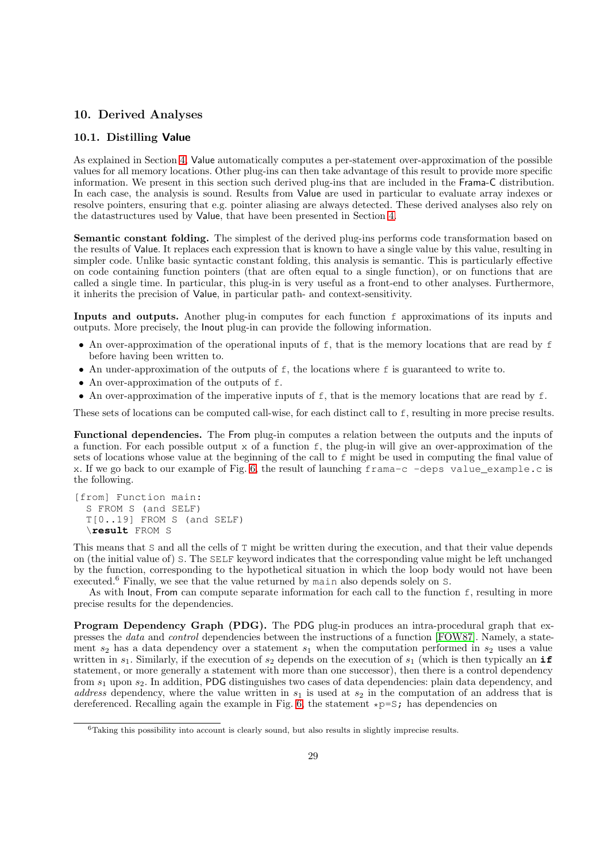# <span id="page-28-1"></span>10. Derived Analyses

#### <span id="page-28-0"></span>10.1. Distilling Value

As explained in Section [4,](#page-6-0) Value automatically computes a per-statement over-approximation of the possible values for all memory locations. Other plug-ins can then take advantage of this result to provide more specific information. We present in this section such derived plug-ins that are included in the Frama-C distribution. In each case, the analysis is sound. Results from Value are used in particular to evaluate array indexes or resolve pointers, ensuring that e.g. pointer aliasing are always detected. These derived analyses also rely on the datastructures used by Value, that have been presented in Section [4.](#page-6-0)

<span id="page-28-2"></span>Semantic constant folding. The simplest of the derived plug-ins performs code transformation based on the results of Value. It replaces each expression that is known to have a single value by this value, resulting in simpler code. Unlike basic syntactic constant folding, this analysis is semantic. This is particularly effective on code containing function pointers (that are often equal to a single function), or on functions that are called a single time. In particular, this plug-in is very useful as a front-end to other analyses. Furthermore, it inherits the precision of Value, in particular path- and context-sensitivity.

Inputs and outputs. Another plug-in computes for each function f approximations of its inputs and outputs. More precisely, the Inout plug-in can provide the following information.

- An over-approximation of the operational inputs of f, that is the memory locations that are read by f before having been written to.
- An under-approximation of the outputs of f, the locations where f is guaranteed to write to.
- An over-approximation of the outputs of f.
- An over-approximation of the imperative inputs of f, that is the memory locations that are read by f.

These sets of locations can be computed call-wise, for each distinct call to f, resulting in more precise results.

Functional dependencies. The From plug-in computes a relation between the outputs and the inputs of a function. For each possible output  $x$  of a function f, the plug-in will give an over-approximation of the sets of locations whose value at the beginning of the call to f might be used in computing the final value of x. If we go back to our example of Fig. [6,](#page-7-0) the result of launching frama-c -deps value\_example.c is the following.

```
[from] Function main:
 S FROM S (and SELF)
 T[0..19] FROM S (and SELF)
  \result FROM S
```
This means that S and all the cells of T might be written during the execution, and that their value depends on (the initial value of) S. The SELF keyword indicates that the corresponding value might be left unchanged by the function, corresponding to the hypothetical situation in which the loop body would not have been executed.<sup>6</sup> Finally, we see that the value returned by main also depends solely on S.

As with lnout, From can compute separate information for each call to the function  $f$ , resulting in more precise results for the dependencies.

Program Dependency Graph (PDG). The PDG plug-in produces an intra-procedural graph that expresses the data and control dependencies between the instructions of a function [\[FOW87\]](#page-34-31). Namely, a statement  $s_2$  has a data dependency over a statement  $s_1$  when the computation performed in  $s_2$  uses a value written in  $s_1$ . Similarly, if the execution of  $s_2$  depends on the execution of  $s_1$  (which is then typically an **if** statement, or more generally a statement with more than one successor), then there is a control dependency from  $s_1$  upon  $s_2$ . In addition, PDG distinguishes two cases of data dependencies: plain data dependency, and address dependency, where the value written in  $s_1$  is used at  $s_2$  in the computation of an address that is dereferenced. Recalling again the example in Fig. [6,](#page-7-0) the statement  $\star p=S$ ; has dependencies on

<sup>6</sup>Taking this possibility into account is clearly sound, but also results in slightly imprecise results.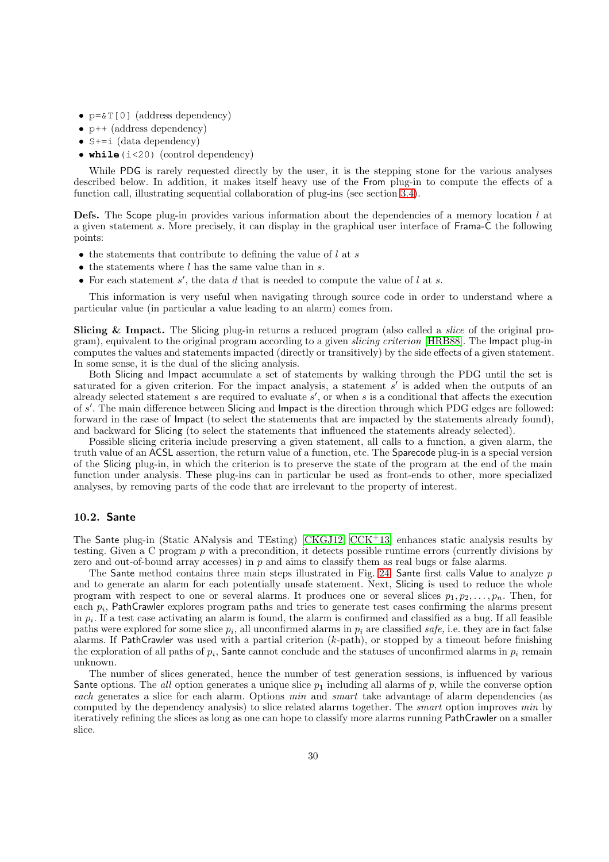- $p = \&T[0]$  (address dependency)
- p++ (address dependency)
- $S+=i$  (data dependency)
- **while**(i<20) (control dependency)

While PDG is rarely requested directly by the user, it is the stepping stone for the various analyses described below. In addition, it makes itself heavy use of the From plug-in to compute the effects of a function call, illustrating sequential collaboration of plug-ins (see section [3.4\)](#page-5-1).

Defs. The Scope plug-in provides various information about the dependencies of a memory location l at a given statement s. More precisely, it can display in the graphical user interface of Frama-C the following points:

- the statements that contribute to defining the value of  $l$  at  $s$
- $\bullet$  the statements where l has the same value than in s.
- For each statement  $s'$ , the data  $d$  that is needed to compute the value of  $l$  at  $s$ .

This information is very useful when navigating through source code in order to understand where a particular value (in particular a value leading to an alarm) comes from.

Slicing & Impact. The Slicing plug-in returns a reduced program (also called a *slice* of the original program), equivalent to the original program according to a given slicing criterion [\[HRB88\]](#page-34-32). The Impact plug-in computes the values and statements impacted (directly or transitively) by the side effects of a given statement. In some sense, it is the dual of the slicing analysis.

Both Slicing and Impact accumulate a set of statements by walking through the PDG until the set is saturated for a given criterion. For the impact analysis, a statement  $s'$  is added when the outputs of an already selected statement s are required to evaluate  $s'$ , or when s is a conditional that affects the execution of s'. The main difference between Slicing and Impact is the direction through which PDG edges are followed: forward in the case of Impact (to select the statements that are impacted by the statements already found), and backward for Slicing (to select the statements that influenced the statements already selected).

Possible slicing criteria include preserving a given statement, all calls to a function, a given alarm, the truth value of an ACSL assertion, the return value of a function, etc. The Sparecode plug-in is a special version of the Slicing plug-in, in which the criterion is to preserve the state of the program at the end of the main function under analysis. These plug-ins can in particular be used as front-ends to other, more specialized analyses, by removing parts of the code that are irrelevant to the property of interest.

## <span id="page-29-0"></span>10.2. Sante

The Sante plug-in (Static ANalysis and TEsting) [\[CKGJ12,](#page-33-22) [CCK](#page-33-23)<sup>+</sup>13] enhances static analysis results by testing. Given a C program p with a precondition, it detects possible runtime errors (currently divisions by zero and out-of-bound array accesses) in  $p$  and aims to classify them as real bugs or false alarms.

The Sante method contains three main steps illustrated in Fig. [24.](#page-30-0) Sante first calls Value to analyze p and to generate an alarm for each potentially unsafe statement. Next, Slicing is used to reduce the whole program with respect to one or several alarms. It produces one or several slices  $p_1, p_2, \ldots, p_n$ . Then, for each  $p_i$ , PathCrawler explores program paths and tries to generate test cases confirming the alarms present in  $p_i$ . If a test case activating an alarm is found, the alarm is confirmed and classified as a bug. If all feasible paths were explored for some slice  $p_i$ , all unconfirmed alarms in  $p_i$  are classified safe, i.e. they are in fact false alarms. If PathCrawler was used with a partial criterion  $(k-path)$ , or stopped by a timeout before finishing the exploration of all paths of  $p_i$ , Sante cannot conclude and the statuses of unconfirmed alarms in  $p_i$  remain unknown.

The number of slices generated, hence the number of test generation sessions, is influenced by various Sante options. The all option generates a unique slice  $p_1$  including all alarms of  $p$ , while the converse option each generates a slice for each alarm. Options min and smart take advantage of alarm dependencies (as computed by the dependency analysis) to slice related alarms together. The smart option improves min by iteratively refining the slices as long as one can hope to classify more alarms running PathCrawler on a smaller slice.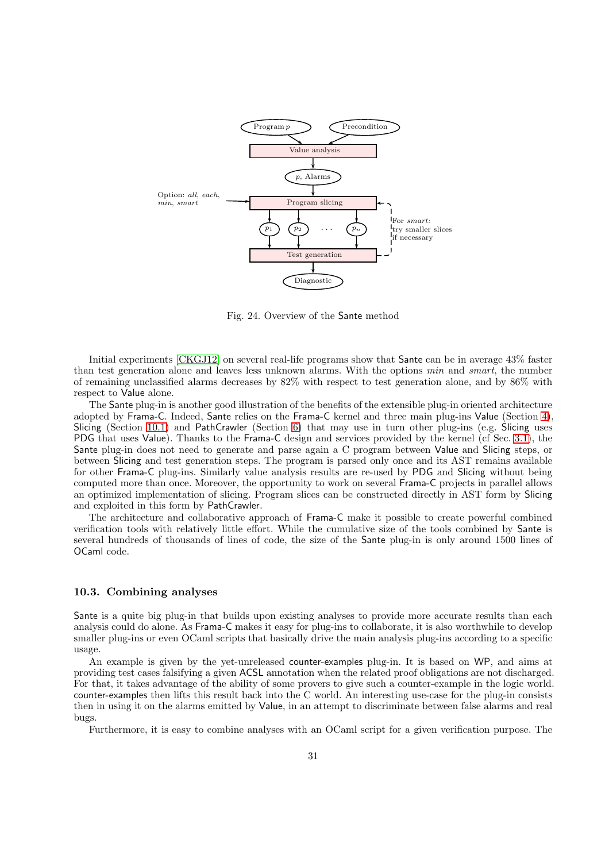

<span id="page-30-0"></span>Fig. 24. Overview of the Sante method

Initial experiments [\[CKGJ12\]](#page-33-22) on several real-life programs show that Sante can be in average 43% faster than test generation alone and leaves less unknown alarms. With the options min and smart, the number of remaining unclassified alarms decreases by 82% with respect to test generation alone, and by 86% with respect to Value alone.

The Sante plug-in is another good illustration of the benefits of the extensible plug-in oriented architecture adopted by Frama-C. Indeed, Sante relies on the Frama-C kernel and three main plug-ins Value (Section [4\)](#page-6-0), Slicing (Section [10.1\)](#page-28-0) and PathCrawler (Section [6\)](#page-16-0) that may use in turn other plug-ins (e.g. Slicing uses PDG that uses Value). Thanks to the Frama-C design and services provided by the kernel (cf Sec. [3.1\)](#page-2-1), the Sante plug-in does not need to generate and parse again a C program between Value and Slicing steps, or between Slicing and test generation steps. The program is parsed only once and its AST remains available for other Frama-C plug-ins. Similarly value analysis results are re-used by PDG and Slicing without being computed more than once. Moreover, the opportunity to work on several Frama-C projects in parallel allows an optimized implementation of slicing. Program slices can be constructed directly in AST form by Slicing and exploited in this form by PathCrawler.

The architecture and collaborative approach of Frama-C make it possible to create powerful combined verification tools with relatively little effort. While the cumulative size of the tools combined by Sante is several hundreds of thousands of lines of code, the size of the Sante plug-in is only around 1500 lines of OCaml code.

## 10.3. Combining analyses

Sante is a quite big plug-in that builds upon existing analyses to provide more accurate results than each analysis could do alone. As Frama-C makes it easy for plug-ins to collaborate, it is also worthwhile to develop smaller plug-ins or even OCaml scripts that basically drive the main analysis plug-ins according to a specific usage.

An example is given by the yet-unreleased counter-examples plug-in. It is based on WP, and aims at providing test cases falsifying a given ACSL annotation when the related proof obligations are not discharged. For that, it takes advantage of the ability of some provers to give such a counter-example in the logic world. counter-examples then lifts this result back into the C world. An interesting use-case for the plug-in consists then in using it on the alarms emitted by Value, in an attempt to discriminate between false alarms and real bugs.

Furthermore, it is easy to combine analyses with an OCaml script for a given verification purpose. The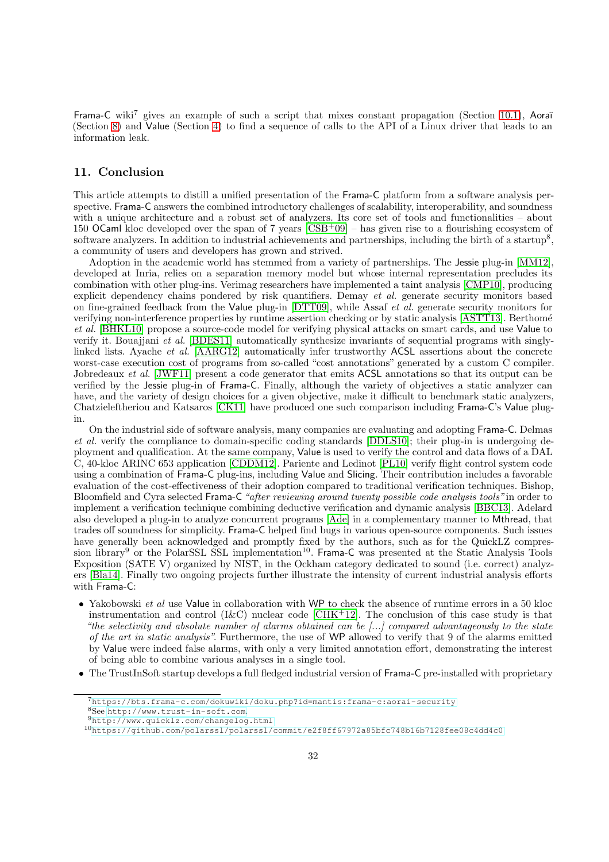Frama-C wiki<sup>7</sup> gives an example of such a script that mixes constant propagation (Section [10.1\)](#page-28-2), Aoraï (Section [8\)](#page-19-0) and Value (Section [4\)](#page-6-0) to find a sequence of calls to the API of a Linux driver that leads to an information leak.

# 11. Conclusion

This article attempts to distill a unified presentation of the Frama-C platform from a software analysis perspective. Frama-C answers the combined introductory challenges of scalability, interoperability, and soundness with a unique architecture and a robust set of analyzers. Its core set of tools and functionalities – about 150 OCaml kloc developed over the span of 7 years  $[CSB<sup>+</sup>09]$  – has given rise to a flourishing ecosystem of software analyzers. In addition to industrial achievements and partnerships, including the birth of a startup<sup>8</sup>, a community of users and developers has grown and strived.

Adoption in the academic world has stemmed from a variety of partnerships. The Jessie plug-in [\[MM12\]](#page-34-4), developed at Inria, relies on a separation memory model but whose internal representation precludes its combination with other plug-ins. Verimag researchers have implemented a taint analysis [\[CMP10\]](#page-33-24), producing explicit dependency chains pondered by risk quantifiers. Demay et al. generate security monitors based on fine-grained feedback from the Value plug-in [\[DTT09\]](#page-33-25), while Assaf et al. generate security monitors for verifying non-interference properties by runtime assertion checking or by static analysis [\[ASTT13\]](#page-32-14). Berthomé et al. [\[BHKL10\]](#page-32-15) propose a source-code model for verifying physical attacks on smart cards, and use Value to verify it. Bouajjani et al. [\[BDES11\]](#page-32-16) automatically synthesize invariants of sequential programs with singlylinked lists. Ayache et al. [\[AARG12\]](#page-32-17) automatically infer trustworthy ACSL assertions about the concrete worst-case execution cost of programs from so-called "cost annotations" generated by a custom C compiler. Jobredeaux et al. [\[JWF11\]](#page-34-33) present a code generator that emits ACSL annotations so that its output can be verified by the Jessie plug-in of Frama-C. Finally, although the variety of objectives a static analyzer can have, and the variety of design choices for a given objective, make it difficult to benchmark static analyzers, Chatzieleftheriou and Katsaros [\[CK11\]](#page-33-26) have produced one such comparison including Frama-C's Value plugin.

On the industrial side of software analysis, many companies are evaluating and adopting Frama-C. Delmas et al. verify the compliance to domain-specific coding standards [\[DDLS10\]](#page-33-27); their plug-in is undergoing deployment and qualification. At the same company, Value is used to verify the control and data flows of a DAL C, 40-kloc ARINC 653 application [\[CDDM12\]](#page-33-28). Pariente and Ledinot [\[PL10\]](#page-35-9) verify flight control system code using a combination of Frama-C plug-ins, including Value and Slicing. Their contribution includes a favorable evaluation of the cost-effectiveness of their adoption compared to traditional verification techniques. Bishop, Bloomfield and Cyra selected Frama-C"after reviewing around twenty possible code analysis tools" in order to implement a verification technique combining deductive verification and dynamic analysis [\[BBC13\]](#page-32-18). Adelard also developed a plug-in to analyze concurrent programs [\[Ade\]](#page-32-19) in a complementary manner to Mthread, that trades off soundness for simplicity. Frama-C helped find bugs in various open-source components. Such issues have generally been acknowledged and promptly fixed by the authors, such as for the QuickLZ compression library<sup>9</sup> or the PolarSSL SSL implementation<sup>10</sup>. Frama-C was presented at the Static Analysis Tools Exposition (SATE V) organized by NIST, in the Ockham category dedicated to sound (i.e. correct) analyzers [\[Bla14\]](#page-32-20). Finally two ongoing projects further illustrate the intensity of current industrial analysis efforts with Frama-C:

- Yakobowski *et al* use Value in collaboration with WP to check the absence of runtime errors in a 50 kloc instrumentation and control  $(L\&C)$  nuclear code [\[CHK](#page-33-15)<sup>+</sup>12]. The conclusion of this case study is that "the selectivity and absolute number of alarms obtained can be [...] compared advantageously to the state of the art in static analysis". Furthermore, the use of WP allowed to verify that 9 of the alarms emitted by Value were indeed false alarms, with only a very limited annotation effort, demonstrating the interest of being able to combine various analyses in a single tool.
- The TrustInSoft startup develops a full fledged industrial version of Frama-C pre-installed with proprietary

<sup>7</sup>[https://bts.frama-c.com/dokuwiki/doku.php?id=mantis:frama-c:aorai-security]( https://bts.frama-c.com/dokuwiki/doku.php?id=mantis:frama-c:aorai-security) <sup>8</sup>See <http://www.trust-in-soft.com>.

<sup>9</sup>[http://www.quicklz.com/changelog.html](http://www.quicklz.com/changelog.html )

<sup>10</sup>[https://github.com/polarssl/polarssl/commit/e2f8ff67972a85bfc748b16b7128fee08c4dd4c0]( https://github.com/polarssl/polarssl/commit/e2f8ff67972a85bfc748b16b7128fee08c4dd4c0)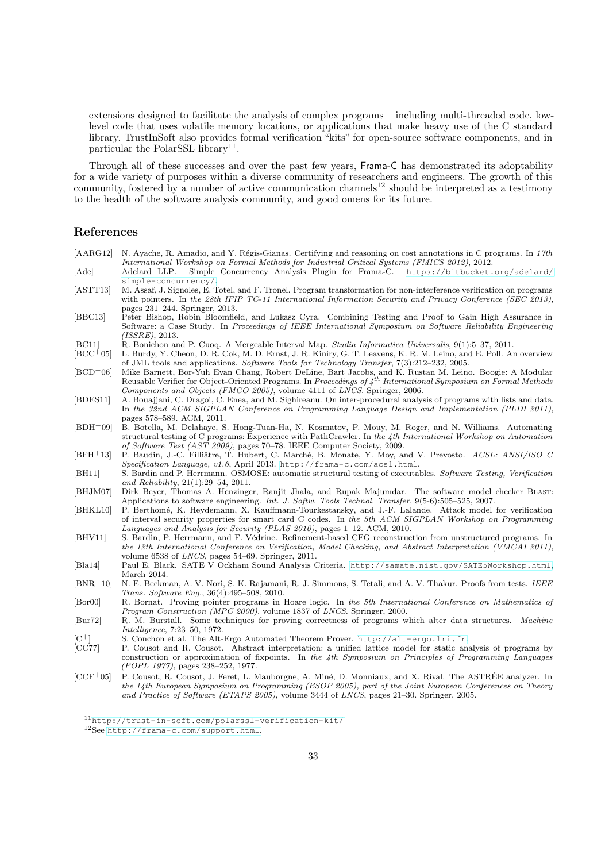extensions designed to facilitate the analysis of complex programs – including multi-threaded code, lowlevel code that uses volatile memory locations, or applications that make heavy use of the C standard library. TrustInSoft also provides formal verification "kits" for open-source software components, and in particular the PolarSSL library<sup>11</sup>.

Through all of these successes and over the past few years, Frama-C has demonstrated its adoptability for a wide variety of purposes within a diverse community of researchers and engineers. The growth of this community, fostered by a number of active communication channels<sup>12</sup> should be interpreted as a testimony to the health of the software analysis community, and good omens for its future.

# References

- <span id="page-32-17"></span>[AARG12] N. Ayache, R. Amadio, and Y. Régis-Gianas. Certifying and reasoning on cost annotations in C programs. In 17th International Workshop on Formal Methods for Industrial Critical Systems (FMICS 2012), 2012.
- <span id="page-32-19"></span>[Ade] Adelard LLP. Simple Concurrency Analysis Plugin for Frama-C. [https://bitbucket.org/adelard/](https://bitbucket.org/adelard/simple-concurrency/) [simple-concurrency/](https://bitbucket.org/adelard/simple-concurrency/).
- <span id="page-32-14"></span>[ASTT13] M. Assaf, J. Signoles, E. Totel, and F. Tronel. Program transformation for non-interference verification on programs with pointers. In the 28th IFIP TC-11 International Information Security and Privacy Conference (SEC 2013), pages 231–244. Springer, 2013.
- <span id="page-32-18"></span>[BBC13] Peter Bishop, Robin Bloomfield, and Lukasz Cyra. Combining Testing and Proof to Gain High Assurance in Software: a Case Study. In Proceedings of IEEE International Symposium on Software Reliability Engineering (ISSRE), 2013.
- <span id="page-32-8"></span>[BC11] R. Bonichon and P. Cuoq. A Mergeable Interval Map. Studia Informatica Universalis, 9(1):5–37, 2011.
- <span id="page-32-6"></span>L. Burdy, Y. Cheon, D. R. Cok, M. D. Ernst, J. R. Kiniry, G. T. Leavens, K. R. M. Leino, and E. Poll. An overview of JML tools and applications. Software Tools for Technology Transfer, 7(3):212–232, 2005.
- <span id="page-32-3"></span>[BCD+06] Mike Barnett, Bor-Yuh Evan Chang, Robert DeLine, Bart Jacobs, and K. Rustan M. Leino. Boogie: A Modular Reusable Verifier for Object-Oriented Programs. In Proceedings of 4<sup>th</sup> International Symposium on Formal Methods Components and Objects (FMCO 2005), volume 4111 of LNCS. Springer, 2006.
- <span id="page-32-16"></span>[BDES11] A. Bouajjani, C. Dragoi, C. Enea, and M. Sighireanu. On inter-procedural analysis of programs with lists and data. In the 32nd ACM SIGPLAN Conference on Programming Language Design and Implementation (PLDI 2011), pages 578–589. ACM, 2011.
- <span id="page-32-12"></span>[BDH+09] B. Botella, M. Delahaye, S. Hong-Tuan-Ha, N. Kosmatov, P. Mouy, M. Roger, and N. Williams. Automating structural testing of C programs: Experience with PathCrawler. In the 4th International Workshop on Automation of Software Test (AST 2009), pages 70–78. IEEE Computer Society, 2009.
- <span id="page-32-5"></span>[BFH<sup>+</sup>13] P. Baudin, J.-C. Filliâtre, T. Hubert, C. Marché, B. Monate, Y. Moy, and V. Prevosto. ACSL: ANSI/ISO C Specification Language, v1.6, April 2013. <http://frama-c.com/acsl.html>.
- <span id="page-32-13"></span>[BH11] S. Bardin and P. Herrmann. OSMOSE: automatic structural testing of executables. Software Testing, Verification and Reliability, 21(1):29–54, 2011.
- <span id="page-32-4"></span>[BHJM07] Dirk Beyer, Thomas A. Henzinger, Ranjit Jhala, and Rupak Majumdar. The software model checker Blast: Applications to software engineering. Int. J. Softw. Tools Technol. Transfer, 9(5-6):505-525, 2007.
- <span id="page-32-15"></span>[BHKL10] P. Berthom´e, K. Heydemann, X. Kauffmann-Tourkestansky, and J.-F. Lalande. Attack model for verification of interval security properties for smart card C codes. In the 5th ACM SIGPLAN Workshop on Programming Languages and Analysis for Security (PLAS 2010), pages 1–12. ACM, 2010.
- <span id="page-32-1"></span>[BHV11] S. Bardin, P. Herrmann, and F. Védrine. Refinement-based CFG reconstruction from unstructured programs. In the 12th International Conference on Verification, Model Checking, and Abstract Interpretation (VMCAI 2011), volume 6538 of LNCS, pages 54–69. Springer, 2011.
- <span id="page-32-20"></span>[Bla14] Paul E. Black. SATE V Ockham Sound Analysis Criteria. <http://samate.nist.gov/SATE5Workshop.html>, March 2014.
- <span id="page-32-2"></span>[BNR+10] N. E. Beckman, A. V. Nori, S. K. Rajamani, R. J. Simmons, S. Tetali, and A. V. Thakur. Proofs from tests. IEEE Trans. Software Eng., 36(4):495–508, 2010.
- <span id="page-32-9"></span>[Bor00] R. Bornat. Proving pointer programs in Hoare logic. In the 5th International Conference on Mathematics of Program Construction (MPC 2000), volume 1837 of LNCS. Springer, 2000.
- <span id="page-32-10"></span>[Bur72] R. M. Burstall. Some techniques for proving correctness of programs which alter data structures. Machine Intelligence, 7:23–50, 1972.
- <span id="page-32-11"></span>[C+] S. Conchon et al. The Alt-Ergo Automated Theorem Prover. <http://alt-ergo.lri.fr>.
- <span id="page-32-7"></span>P. Cousot and R. Cousot. Abstract interpretation: a unified lattice model for static analysis of programs by construction or approximation of fixpoints. In the 4th Symposium on Principles of Programming Languages (POPL 1977), pages 238–252, 1977.
- <span id="page-32-0"></span>[CCF+05] P. Cousot, R. Cousot, J. Feret, L. Mauborgne, A. Min´e, D. Monniaux, and X. Rival. The ASTREE analyzer. In ´ the 14th European Symposium on Programming (ESOP 2005), part of the Joint European Conferences on Theory and Practice of Software (ETAPS 2005), volume 3444 of LNCS, pages 21–30. Springer, 2005.

<sup>11</sup><http://trust-in-soft.com/polarssl-verification-kit/>

<sup>12</sup>See <http://frama-c.com/support.html>.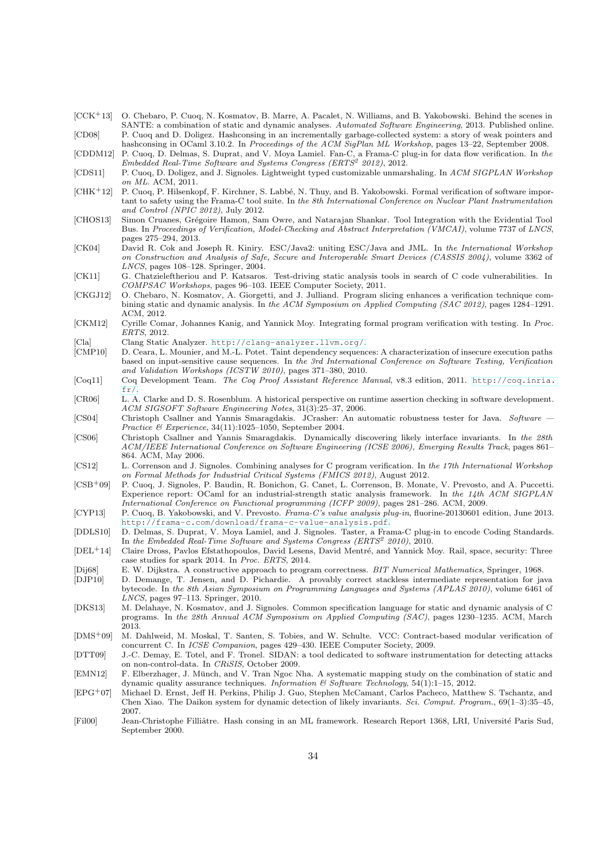- <span id="page-33-23"></span>[CCK+13] O. Chebaro, P. Cuoq, N. Kosmatov, B. Marre, A. Pacalet, N. Williams, and B. Yakobowski. Behind the scenes in SANTE: a combination of static and dynamic analyses. Automated Software Engineering, 2013. Published online. [CD08] P. Cuoq and D. Doligez. Hashconsing in an incrementally garbage-collected system: a story of weak pointers and hashconsing in OCaml 3.10.2. In Proceedings of the ACM SigPlan ML Workshop, pages 13–22, September 2008.
- <span id="page-33-28"></span><span id="page-33-17"></span>[CDDM12] P. Cuoq, D. Delmas, S. Duprat, and V. Moya Lamiel. Fan-C, a Frama-C plug-in for data flow verification. In the Embedded Real-Time Software and Systems Congress (ERTS<sup>2</sup> 2012), 2012.
- <span id="page-33-12"></span>[CDS11] P. Cuoq, D. Doligez, and J. Signoles. Lightweight typed customizable unmarshaling. In ACM SIGPLAN Workshop on ML. ACM, 2011.
- <span id="page-33-15"></span>[CHK+12] P. Cuoq, P. Hilsenkopf, F. Kirchner, S. Labb´e, N. Thuy, and B. Yakobowski. Formal verification of software important to safety using the Frama-C tool suite. In the 8th International Conference on Nuclear Plant Instrumentation and Control (NPIC 2012), July 2012.
- <span id="page-33-6"></span>[CHOS13] Simon Cruanes, Grégoire Hamon, Sam Owre, and Natarajan Shankar. Tool Integration with the Evidential Tool Bus. In Proceedings of Verification, Model-Checking and Abstract Interpretation (VMCAI), volume 7737 of LNCS, pages 275–294, 2013.
- <span id="page-33-8"></span>[CK04] David R. Cok and Joseph R. Kiniry. ESC/Java2: uniting ESC/Java and JML. In the International Workshop on Construction and Analysis of Safe, Secure and Interoperable Smart Devices (CASSIS 2004), volume 3362 of LNCS, pages 108–128. Springer, 2004.
- <span id="page-33-26"></span>[CK11] G. Chatzieleftheriou and P. Katsaros. Test-driving static analysis tools in search of C code vulnerabilities. In COMPSAC Workshops, pages 96–103. IEEE Computer Society, 2011.
- <span id="page-33-22"></span>[CKGJ12] O. Chebaro, N. Kosmatov, A. Giorgetti, and J. Julliand. Program slicing enhances a verification technique combining static and dynamic analysis. In the ACM Symposium on Applied Computing (SAC 2012), pages 1284–1291. ACM, 2012.
- <span id="page-33-4"></span>[CKM12] Cyrille Comar, Johannes Kanig, and Yannick Moy. Integrating formal program verification with testing. In Proc. ERTS, 2012.
- <span id="page-33-3"></span>[Cla] Clang Static Analyzer. <http://clang-analyzer.llvm.org/>.
- <span id="page-33-24"></span>[CMP10] D. Ceara, L. Mounier, and M.-L. Potet. Taint dependency sequences: A characterization of insecure execution paths based on input-sensitive cause sequences. In the 3rd International Conference on Software Testing, Verification and Validation Workshops (ICSTW 2010), pages 371–380, 2010.
- <span id="page-33-19"></span>[Coq11] Coq Development Team. The Coq Proof Assistant Reference Manual, v8.3 edition, 2011. [http://coq.inria.](http://coq.inria.fr/) [fr/](http://coq.inria.fr/).
- <span id="page-33-20"></span>[CR06] L. A. Clarke and D. S. Rosenblum. A historical perspective on runtime assertion checking in software development. ACM SIGSOFT Software Engineering Notes, 31(3):25–37, 2006.
- <span id="page-33-9"></span>[CS04] Christoph Csallner and Yannis Smaragdakis. JCrasher: An automatic robustness tester for Java. Software — Practice & Experience, 34(11):1025–1050, September 2004.
- <span id="page-33-10"></span>[CS06] Christoph Csallner and Yannis Smaragdakis. Dynamically discovering likely interface invariants. In the 28th ACM/IEEE International Conference on Software Engineering (ICSE 2006), Emerging Results Track, pages 861– 864. ACM, May 2006.
- <span id="page-33-13"></span>[CS12] L. Correnson and J. Signoles. Combining analyses for C program verification. In the 17th International Workshop on Formal Methods for Industrial Critical Systems (FMICS 2012), August 2012.
- <span id="page-33-11"></span>[CSB+09] P. Cuoq, J. Signoles, P. Baudin, R. Bonichon, G. Canet, L. Correnson, B. Monate, V. Prevosto, and A. Puccetti. Experience report: OCaml for an industrial-strength static analysis framework. In the 14th ACM SIGPLAN International Conference on Functional programming (ICFP 2009), pages 281–286. ACM, 2009.
- <span id="page-33-14"></span>[CYP13] P. Cuoq, B. Yakobowski, and V. Prevosto. Frama-C's value analysis plug-in, fluorine-20130601 edition, June 2013. <http://frama-c.com/download/frama-c-value-analysis.pdf>.
- <span id="page-33-27"></span>[DDLS10] D. Delmas, S. Duprat, V. Moya Lamiel, and J. Signoles. Taster, a Frama-C plug-in to encode Coding Standards. In the Embedded Real-Time Software and Systems Congress (ERTS<sup>2</sup> 2010), 2010.
- <span id="page-33-5"></span>[DEL+14] Claire Dross, Pavlos Efstathopoulos, David Lesens, David Mentré, and Yannick Moy. Rail, space, security: Three case studies for spark 2014. In Proc. ERTS, 2014.
- <span id="page-33-18"></span>[Dij68] E. W. Dijkstra. A constructive approach to program correctness. BIT Numerical Mathematics, Springer, 1968.
- <span id="page-33-1"></span>[DJP10] D. Demange, T. Jensen, and D. Pichardie. A provably correct stackless intermediate representation for java bytecode. In the 8th Asian Symposium on Programming Languages and Systems (APLAS 2010), volume 6461 of LNCS, pages 97–113. Springer, 2010.
- <span id="page-33-21"></span>[DKS13] M. Delahaye, N. Kosmatov, and J. Signoles. Common specification language for static and dynamic analysis of C programs. In the 28th Annual ACM Symposium on Applied Computing (SAC), pages 1230–1235. ACM, March 2013.
- <span id="page-33-0"></span>[DMS+09] M. Dahlweid, M. Moskal, T. Santen, S. Tobies, and W. Schulte. VCC: Contract-based modular verification of concurrent C. In ICSE Companion, pages 429–430. IEEE Computer Society, 2009.
- <span id="page-33-25"></span>[DTT09] J.-C. Demay, E. Totel, and F. Tronel. SIDAN: a tool dedicated to software instrumentation for detecting attacks on non-control-data. In CRiSIS, October 2009.
- <span id="page-33-2"></span>[EMN12] F. Elberzhager, J. Münch, and V. Tran Ngoc Nha. A systematic mapping study on the combination of static and dynamic quality assurance techniques. Information & Software Technology, 54(1):1–15, 2012.
- <span id="page-33-7"></span>[EPG+07] Michael D. Ernst, Jeff H. Perkins, Philip J. Guo, Stephen McCamant, Carlos Pacheco, Matthew S. Tschantz, and Chen Xiao. The Daikon system for dynamic detection of likely invariants. Sci. Comput. Program., 69(1–3):35–45, 2007.
- <span id="page-33-16"></span>[Fil00] Jean-Christophe Filliâtre. Hash consing in an ML framework. Research Report 1368, LRI, Université Paris Sud, September 2000.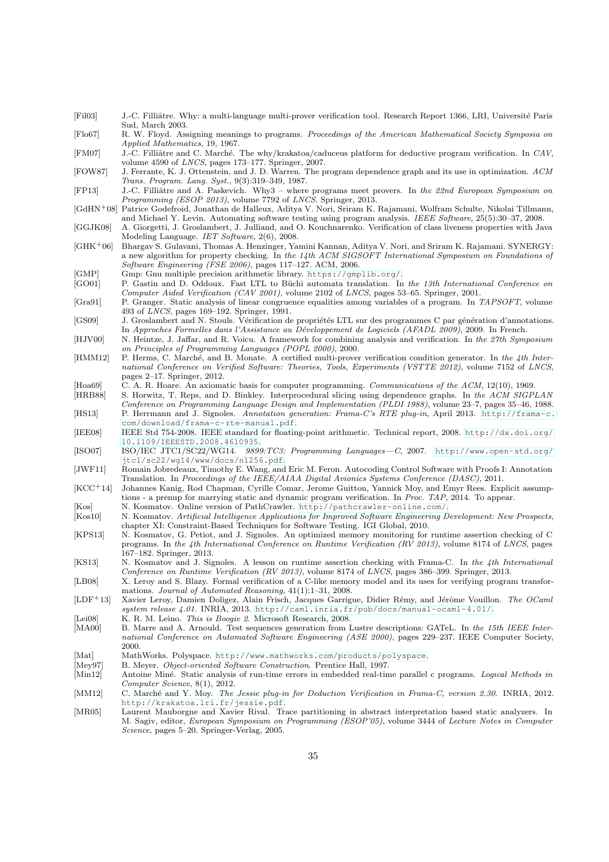<span id="page-34-32"></span><span id="page-34-29"></span><span id="page-34-28"></span><span id="page-34-27"></span><span id="page-34-25"></span><span id="page-34-17"></span><span id="page-34-15"></span><span id="page-34-14"></span><span id="page-34-13"></span><span id="page-34-12"></span><span id="page-34-11"></span><span id="page-34-7"></span><span id="page-34-6"></span>and Michael Y. Levin. Automating software testing using program analysis. IEEE Software, 25(5):30–37, 2008. [GGJK08] A. Giorgetti, J. Groslambert, J. Julliand, and O. Kouchnarenko. Verification of class liveness properties with Java Modeling Language. IET Software, 2(6), 2008. [GHK+06] Bhargav S. Gulavani, Thomas A. Henzinger, Yamini Kannan, Aditya V. Nori, and Sriram K. Rajamani. SYNERGY: a new algorithm for property checking. In the 14th ACM SIGSOFT International Symposium on Foundations of Software Engineering (FSE 2006), pages 117–127. ACM, 2006. [GMP] Gmp: Gnu multiple precision arithmetic library. <https://gmplib.org/>. P. Gastin and D. Oddoux. Fast LTL to Büchi automata translation. In the 13th International Conference on Computer Aided Verification (CAV 2001), volume 2102 of LNCS, pages 53–65. Springer, 2001. [Gra91] P. Granger. Static analysis of linear congruence equalities among variables of a program. In TAPSOFT, volume 493 of LNCS, pages 169–192. Springer, 1991. [GS09] J. Groslambert and N. Stouls. Vérification de propriétés LTL sur des programmes C par génération d'annotations. In Approches Formelles dans l'Assistance au Développement de Logiciels (AFADL 2009), 2009. In French. [HJV00] N. Heintze, J. Jaffar, and R. Voicu. A framework for combining analysis and verification. In the 27th Symposium on Principles of Programming Languages (POPL 2000), 2000. [HMM12] P. Herms, C. Marché, and B. Monate. A certified multi-prover verification condition generator. In the 4th International Conference on Verified Software: Theories, Tools, Experiments (VSTTE 2012), volume 7152 of LNCS, pages 2–17. Springer, 2012. [Hoa69] C. A. R. Hoare. An axiomatic basis for computer programming. Communications of the ACM, 12(10), 1969. [HRB88] S. Horwitz, T. Reps, and D. Binkley. Interprocedural slicing using dependence graphs. In the ACM SIGPLAN Conference on Programming Language Design and Implementation (PLDI 1988), volume 23–7, pages 35–46, 1988. [HS13] P. Herrmann and J. Signoles. Annotation generation: Frama-C's RTE plug-in, April 2013. [http://frama-c.](http://frama-c.com/download/frama-c-rte-manual.pdf) [com/download/frama-c-rte-manual.pdf](http://frama-c.com/download/frama-c-rte-manual.pdf). [IEE08] IEEE Std 754-2008. IEEE standard for floating-point arithmetic. Technical report, 2008. [http://dx.doi.org/](http://dx.doi.org/10.1109/IEEESTD.2008.4610935) [10.1109/IEEESTD.2008.4610935](http://dx.doi.org/10.1109/IEEESTD.2008.4610935). [ISO07] ISO/IEC JTC1/SC22/WG14. 9899:TC3: Programming Languages—C, 2007. [http://www.open-std.org/](http://www.open-std.org/jtc1/sc22/wg14/www/docs/n1256.pdf) [jtc1/sc22/wg14/www/docs/n1256.pdf](http://www.open-std.org/jtc1/sc22/wg14/www/docs/n1256.pdf). [JWF11] Romain Jobredeaux, Timothy E. Wang, and Eric M. Feron. Autocoding Control Software with Proofs I: Annotation Translation. In Proceedings of the IEEE/AIAA Digital Avionics Systems Conference (DASC), 2011. [KCC+14] Johannes Kanig, Rod Chapman, Cyrille Comar, Jerome Guitton, Yannick Moy, and Emyr Rees. Explicit assumptions - a prenup for marrying static and dynamic program verification. In Proc. TAP, 2014. To appear. [Kos] N. Kosmatov. Online version of PathCrawler. <http://pathcrawler-online.com/>. [Kos10] N. Kosmatov. Artificial Intelligence Applications for Improved Software Engineering Development: New Prospects, chapter XI: Constraint-Based Techniques for Software Testing. IGI Global, 2010. [KPS13] N. Kosmatov, G. Petiot, and J. Signoles. An optimized memory monitoring for runtime assertion checking of C programs. In the 4th International Conference on Runtime Verification (RV 2013), volume 8174 of LNCS, pages 167–182. Springer, 2013. [KS13] N. Kosmatov and J. Signoles. A lesson on runtime assertion checking with Frama-C. In the 4th International Conference on Runtime Verification (RV 2013), volume 8174 of LNCS, pages 386–399. Springer, 2013. [LB08] X. Leroy and S. Blazy. Formal verification of a C-like memory model and its uses for verifying program transformations. Journal of Automated Reasoning, 41(1):1–31, 2008. [LDF+13] Xavier Leroy, Damien Doligez, Alain Frisch, Jacques Garrigue, Didier Rémy, and Jérôme Vouillon. The OCaml system release 4.01. INRIA, 2013. <http://caml.inria.fr/pub/docs/manual-ocaml-4.01/>. [Lei08] K. R. M. Leino. This is Boogie 2. Microsoft Research, 2008. [MA00] B. Marre and A. Arnould. Test sequences generation from Lustre descriptions: GATeL. In the 15th IEEE International Conference on Automated Software Engineering (ASE 2000), pages 229–237. IEEE Computer Society, 2000. [Mat] MathWorks. Polyspace. <http://www.mathworks.com/products/polyspace>.<br>[Mey97] B. Meyer. *Object-oriented Software Construction*. Prentice Hall, 1997. B. Meyer. Object-oriented Software Construction. Prentice Hall, 1997. [Min12] Antoine Miné. Static analysis of run-time errors in embedded real-time parallel c programs. Logical Methods in Computer Science, 8(1), 2012. [MM12] C. Marché and Y. Moy. The Jessie plug-in for Deduction Verification in Frama-C, version 2.30. INRIA, 2012. <http://krakatoa.lri.fr/jessie.pdf>. [MR05] Laurent Mauborgne and Xavier Rival. Trace partitioning in abstract interpretation based static analyzers. In

<span id="page-34-2"></span>[Fil03] J.-C. Filliâtre. Why: a multi-language multi-prover verification tool. Research Report 1366, LRI, Université Paris

<span id="page-34-18"></span>[Flo67] R. W. Floyd. Assigning meanings to programs. Proceedings of the American Mathematical Society Symposia on

<span id="page-34-5"></span>[FM07] J.-C. Filliâtre and C. Marché. The why/krakatoa/caduceus platform for deductive program verification. In CAV,

<span id="page-34-31"></span>[FOW87] J. Ferrante, K. J. Ottenstein, and J. D. Warren. The program dependence graph and its use in optimization. ACM

<span id="page-34-3"></span>[FP13] J.-C. Filliâtre and A. Paskevich. Why3 – where programs meet provers. In the 22nd European Symposium on

<span id="page-34-8"></span>[GdHN+08] Patrice Godefroid, Jonathan de Halleux, Aditya V. Nori, Sriram K. Rajamani, Wolfram Schulte, Nikolai Tillmann,

Sud, March 2003.

Applied Mathematics, 19, 1967.

volume 4590 of LNCS, pages 173–177. Springer, 2007.

Programming (ESOP 2013), volume 7792 of LNCS. Springer, 2013.

Trans. Program. Lang. Syst., 9(3):319–349, 1987.

<span id="page-34-33"></span><span id="page-34-30"></span><span id="page-34-26"></span><span id="page-34-24"></span><span id="page-34-23"></span><span id="page-34-22"></span><span id="page-34-21"></span><span id="page-34-20"></span><span id="page-34-19"></span><span id="page-34-16"></span><span id="page-34-10"></span><span id="page-34-9"></span><span id="page-34-4"></span><span id="page-34-1"></span><span id="page-34-0"></span>M. Sagiv, editor, European Symposium on Programming (ESOP'05), volume 3444 of Lecture Notes in Computer Science, pages 5–20. Springer-Verlag, 2005.